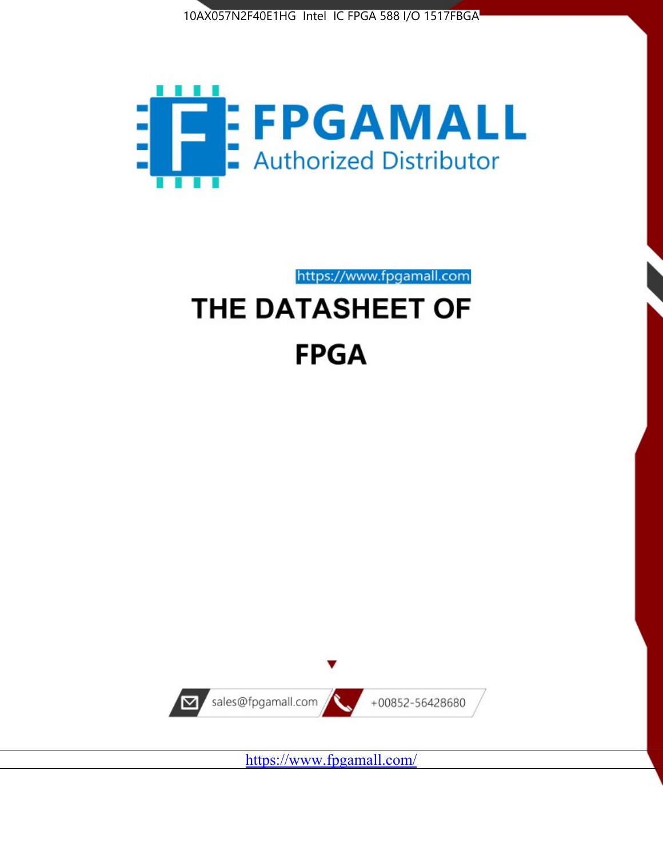



https://www.fpgamall.com THE DATASHEET OF

# **FPGA**



<https://www.fpgamall.com/>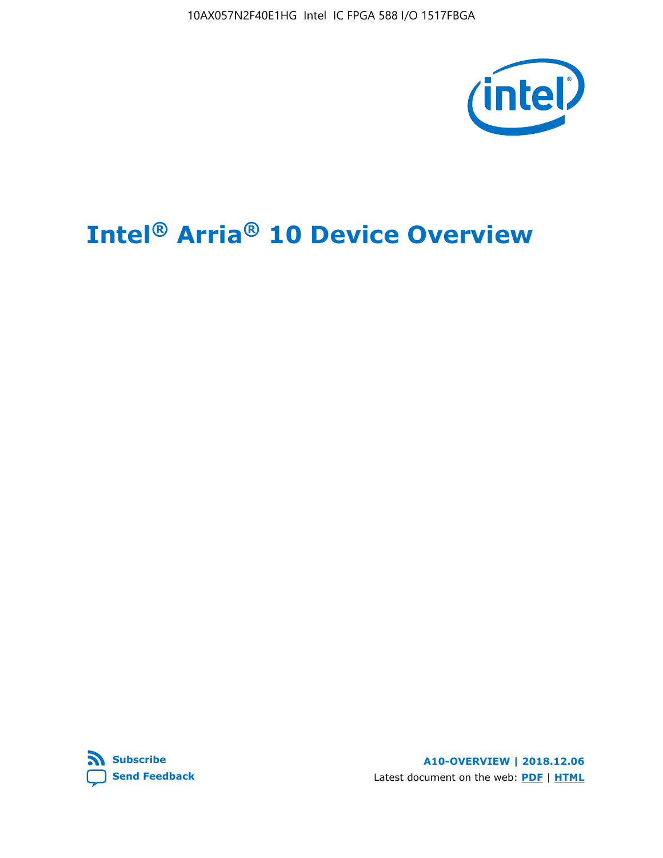10AX057N2F40E1HG Intel IC FPGA 588 I/O 1517FBGA



# **Intel® Arria® 10 Device Overview**



**A10-OVERVIEW | 2018.12.06** Latest document on the web: **[PDF](https://www.intel.com/content/dam/www/programmable/us/en/pdfs/literature/hb/arria-10/a10_overview.pdf)** | **[HTML](https://www.intel.com/content/www/us/en/programmable/documentation/sam1403480274650.html)**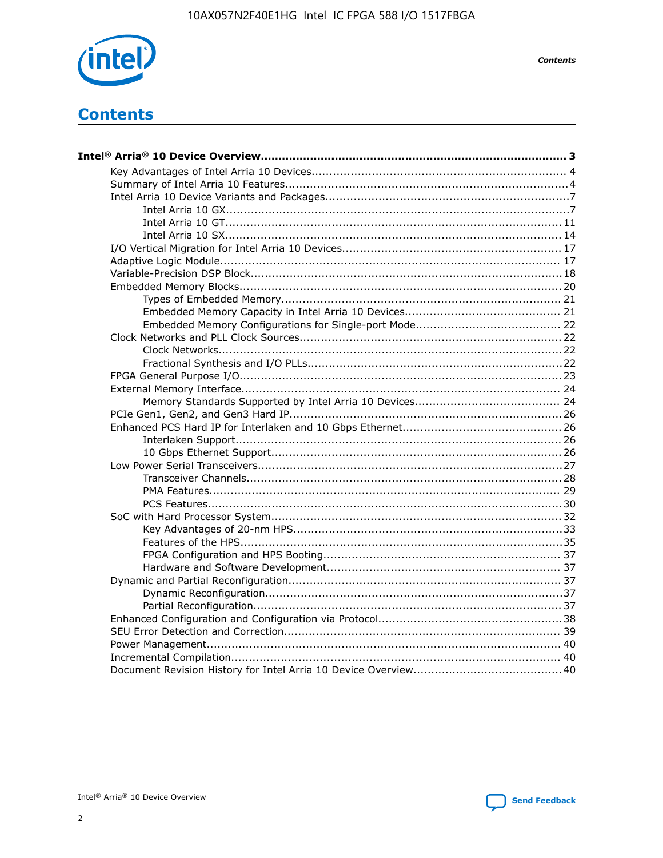

**Contents** 

# **Contents**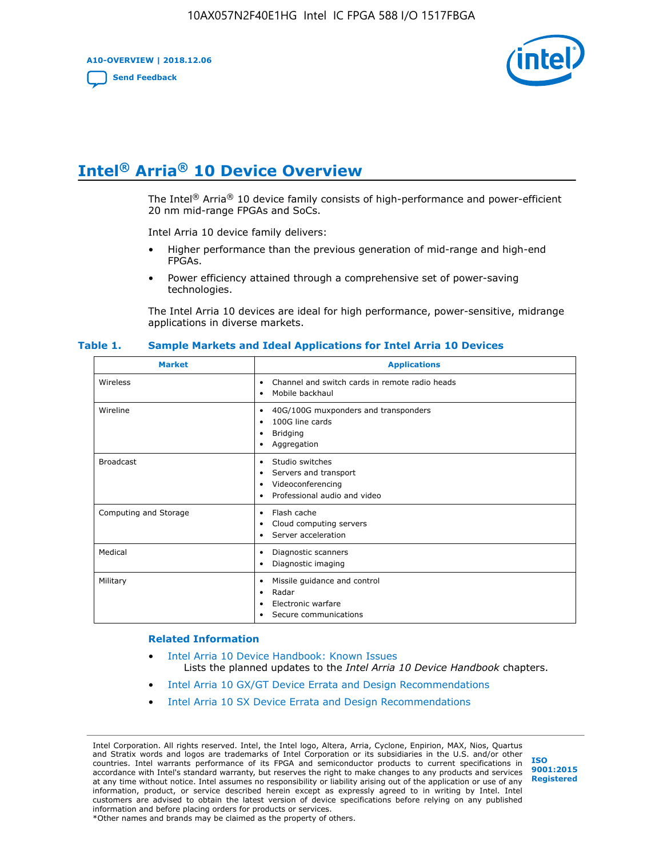**A10-OVERVIEW | 2018.12.06**

**[Send Feedback](mailto:FPGAtechdocfeedback@intel.com?subject=Feedback%20on%20Intel%20Arria%2010%20Device%20Overview%20(A10-OVERVIEW%202018.12.06)&body=We%20appreciate%20your%20feedback.%20In%20your%20comments,%20also%20specify%20the%20page%20number%20or%20paragraph.%20Thank%20you.)**



# **Intel® Arria® 10 Device Overview**

The Intel<sup>®</sup> Arria<sup>®</sup> 10 device family consists of high-performance and power-efficient 20 nm mid-range FPGAs and SoCs.

Intel Arria 10 device family delivers:

- Higher performance than the previous generation of mid-range and high-end FPGAs.
- Power efficiency attained through a comprehensive set of power-saving technologies.

The Intel Arria 10 devices are ideal for high performance, power-sensitive, midrange applications in diverse markets.

| <b>Market</b>         | <b>Applications</b>                                                                                               |
|-----------------------|-------------------------------------------------------------------------------------------------------------------|
| Wireless              | Channel and switch cards in remote radio heads<br>٠<br>Mobile backhaul<br>٠                                       |
| Wireline              | 40G/100G muxponders and transponders<br>٠<br>100G line cards<br>٠<br><b>Bridging</b><br>٠<br>Aggregation<br>٠     |
| <b>Broadcast</b>      | Studio switches<br>٠<br>Servers and transport<br>٠<br>Videoconferencing<br>٠<br>Professional audio and video<br>٠ |
| Computing and Storage | Flash cache<br>٠<br>Cloud computing servers<br>٠<br>Server acceleration<br>٠                                      |
| Medical               | Diagnostic scanners<br>٠<br>Diagnostic imaging<br>٠                                                               |
| Military              | Missile guidance and control<br>٠<br>Radar<br>٠<br>Electronic warfare<br>٠<br>Secure communications<br>٠          |

#### **Table 1. Sample Markets and Ideal Applications for Intel Arria 10 Devices**

#### **Related Information**

- [Intel Arria 10 Device Handbook: Known Issues](http://www.altera.com/support/kdb/solutions/rd07302013_646.html) Lists the planned updates to the *Intel Arria 10 Device Handbook* chapters.
- [Intel Arria 10 GX/GT Device Errata and Design Recommendations](https://www.intel.com/content/www/us/en/programmable/documentation/agz1493851706374.html#yqz1494433888646)
- [Intel Arria 10 SX Device Errata and Design Recommendations](https://www.intel.com/content/www/us/en/programmable/documentation/cru1462832385668.html#cru1462832558642)

Intel Corporation. All rights reserved. Intel, the Intel logo, Altera, Arria, Cyclone, Enpirion, MAX, Nios, Quartus and Stratix words and logos are trademarks of Intel Corporation or its subsidiaries in the U.S. and/or other countries. Intel warrants performance of its FPGA and semiconductor products to current specifications in accordance with Intel's standard warranty, but reserves the right to make changes to any products and services at any time without notice. Intel assumes no responsibility or liability arising out of the application or use of any information, product, or service described herein except as expressly agreed to in writing by Intel. Intel customers are advised to obtain the latest version of device specifications before relying on any published information and before placing orders for products or services. \*Other names and brands may be claimed as the property of others.

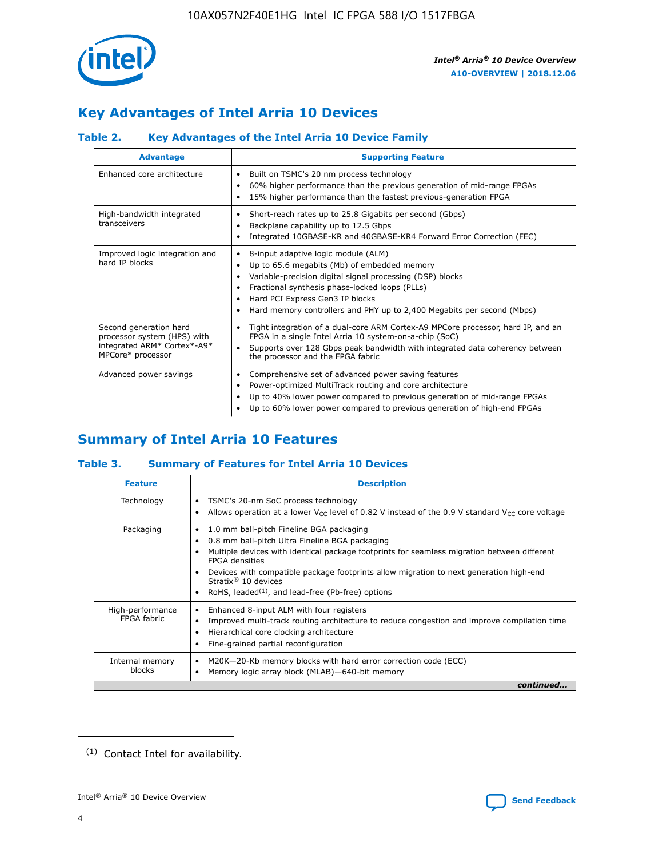

# **Key Advantages of Intel Arria 10 Devices**

## **Table 2. Key Advantages of the Intel Arria 10 Device Family**

| <b>Advantage</b>                                                                                          | <b>Supporting Feature</b>                                                                                                                                                                                                                                                                                                     |
|-----------------------------------------------------------------------------------------------------------|-------------------------------------------------------------------------------------------------------------------------------------------------------------------------------------------------------------------------------------------------------------------------------------------------------------------------------|
| Enhanced core architecture                                                                                | Built on TSMC's 20 nm process technology<br>$\bullet$<br>60% higher performance than the previous generation of mid-range FPGAs<br>٠<br>15% higher performance than the fastest previous-generation FPGA<br>٠                                                                                                                 |
| High-bandwidth integrated<br>transceivers                                                                 | Short-reach rates up to 25.8 Gigabits per second (Gbps)<br>٠<br>Backplane capability up to 12.5 Gbps<br>٠<br>Integrated 10GBASE-KR and 40GBASE-KR4 Forward Error Correction (FEC)<br>٠                                                                                                                                        |
| Improved logic integration and<br>hard IP blocks                                                          | 8-input adaptive logic module (ALM)<br>٠<br>Up to 65.6 megabits (Mb) of embedded memory<br>٠<br>Variable-precision digital signal processing (DSP) blocks<br>Fractional synthesis phase-locked loops (PLLs)<br>٠<br>Hard PCI Express Gen3 IP blocks<br>Hard memory controllers and PHY up to 2,400 Megabits per second (Mbps) |
| Second generation hard<br>processor system (HPS) with<br>integrated ARM* Cortex*-A9*<br>MPCore* processor | Tight integration of a dual-core ARM Cortex-A9 MPCore processor, hard IP, and an<br>٠<br>FPGA in a single Intel Arria 10 system-on-a-chip (SoC)<br>Supports over 128 Gbps peak bandwidth with integrated data coherency between<br>$\bullet$<br>the processor and the FPGA fabric                                             |
| Advanced power savings                                                                                    | Comprehensive set of advanced power saving features<br>٠<br>Power-optimized MultiTrack routing and core architecture<br>٠<br>Up to 40% lower power compared to previous generation of mid-range FPGAs<br>٠<br>Up to 60% lower power compared to previous generation of high-end FPGAs                                         |

# **Summary of Intel Arria 10 Features**

## **Table 3. Summary of Features for Intel Arria 10 Devices**

| <b>Feature</b>                  | <b>Description</b>                                                                                                                                                                                                                                                                                                                                                                                       |
|---------------------------------|----------------------------------------------------------------------------------------------------------------------------------------------------------------------------------------------------------------------------------------------------------------------------------------------------------------------------------------------------------------------------------------------------------|
| Technology                      | TSMC's 20-nm SoC process technology<br>٠<br>Allows operation at a lower $V_{\text{CC}}$ level of 0.82 V instead of the 0.9 V standard $V_{\text{CC}}$ core voltage                                                                                                                                                                                                                                       |
| Packaging                       | 1.0 mm ball-pitch Fineline BGA packaging<br>0.8 mm ball-pitch Ultra Fineline BGA packaging<br>Multiple devices with identical package footprints for seamless migration between different<br><b>FPGA</b> densities<br>Devices with compatible package footprints allow migration to next generation high-end<br>Stratix $\mathcal{R}$ 10 devices<br>RoHS, leaded $(1)$ , and lead-free (Pb-free) options |
| High-performance<br>FPGA fabric | Enhanced 8-input ALM with four registers<br>٠<br>Improved multi-track routing architecture to reduce congestion and improve compilation time<br>Hierarchical core clocking architecture<br>Fine-grained partial reconfiguration                                                                                                                                                                          |
| Internal memory<br>blocks       | M20K-20-Kb memory blocks with hard error correction code (ECC)<br>Memory logic array block (MLAB)-640-bit memory                                                                                                                                                                                                                                                                                         |
|                                 | continued                                                                                                                                                                                                                                                                                                                                                                                                |



<sup>(1)</sup> Contact Intel for availability.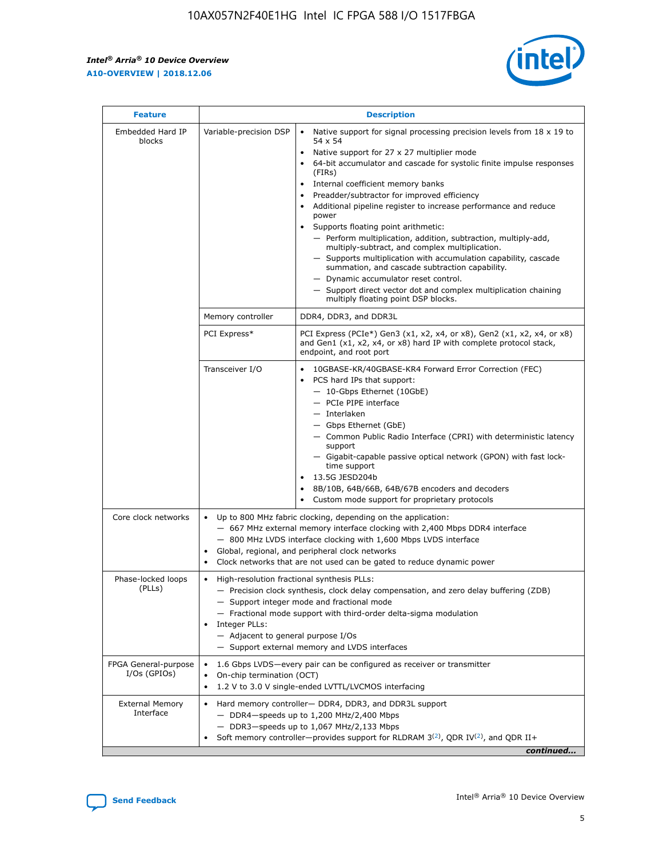r



| <b>Feature</b>                         |                                                                                                                                                                                                                                                                                                                                   | <b>Description</b>                                                                                                                                                                                                                                                                                                                                                                                                                                                                                                                                                                                                                                                                                                                                                                                                                                               |  |  |  |  |  |
|----------------------------------------|-----------------------------------------------------------------------------------------------------------------------------------------------------------------------------------------------------------------------------------------------------------------------------------------------------------------------------------|------------------------------------------------------------------------------------------------------------------------------------------------------------------------------------------------------------------------------------------------------------------------------------------------------------------------------------------------------------------------------------------------------------------------------------------------------------------------------------------------------------------------------------------------------------------------------------------------------------------------------------------------------------------------------------------------------------------------------------------------------------------------------------------------------------------------------------------------------------------|--|--|--|--|--|
| Embedded Hard IP<br>blocks             | Variable-precision DSP                                                                                                                                                                                                                                                                                                            | Native support for signal processing precision levels from $18 \times 19$ to<br>$\bullet$<br>54 x 54<br>Native support for 27 x 27 multiplier mode<br>$\bullet$<br>64-bit accumulator and cascade for systolic finite impulse responses<br>(FIRs)<br>Internal coefficient memory banks<br>$\bullet$<br>Preadder/subtractor for improved efficiency<br>Additional pipeline register to increase performance and reduce<br>power<br>Supports floating point arithmetic:<br>- Perform multiplication, addition, subtraction, multiply-add,<br>multiply-subtract, and complex multiplication.<br>- Supports multiplication with accumulation capability, cascade<br>summation, and cascade subtraction capability.<br>- Dynamic accumulator reset control.<br>- Support direct vector dot and complex multiplication chaining<br>multiply floating point DSP blocks. |  |  |  |  |  |
|                                        | Memory controller                                                                                                                                                                                                                                                                                                                 | DDR4, DDR3, and DDR3L                                                                                                                                                                                                                                                                                                                                                                                                                                                                                                                                                                                                                                                                                                                                                                                                                                            |  |  |  |  |  |
|                                        | PCI Express*                                                                                                                                                                                                                                                                                                                      | PCI Express (PCIe*) Gen3 (x1, x2, x4, or x8), Gen2 (x1, x2, x4, or x8)<br>and Gen1 (x1, x2, x4, or x8) hard IP with complete protocol stack,<br>endpoint, and root port                                                                                                                                                                                                                                                                                                                                                                                                                                                                                                                                                                                                                                                                                          |  |  |  |  |  |
|                                        | Transceiver I/O                                                                                                                                                                                                                                                                                                                   | 10GBASE-KR/40GBASE-KR4 Forward Error Correction (FEC)<br>PCS hard IPs that support:<br>- 10-Gbps Ethernet (10GbE)<br>- PCIe PIPE interface<br>- Interlaken<br>- Gbps Ethernet (GbE)<br>- Common Public Radio Interface (CPRI) with deterministic latency<br>support<br>- Gigabit-capable passive optical network (GPON) with fast lock-<br>time support<br>13.5G JESD204b<br>$\bullet$<br>8B/10B, 64B/66B, 64B/67B encoders and decoders<br>Custom mode support for proprietary protocols                                                                                                                                                                                                                                                                                                                                                                        |  |  |  |  |  |
| Core clock networks                    | $\bullet$                                                                                                                                                                                                                                                                                                                         | Up to 800 MHz fabric clocking, depending on the application:<br>- 667 MHz external memory interface clocking with 2,400 Mbps DDR4 interface<br>- 800 MHz LVDS interface clocking with 1,600 Mbps LVDS interface<br>Global, regional, and peripheral clock networks<br>Clock networks that are not used can be gated to reduce dynamic power                                                                                                                                                                                                                                                                                                                                                                                                                                                                                                                      |  |  |  |  |  |
| Phase-locked loops<br>(PLLs)           | High-resolution fractional synthesis PLLs:<br>$\bullet$<br>Integer PLLs:<br>- Adjacent to general purpose I/Os                                                                                                                                                                                                                    | - Precision clock synthesis, clock delay compensation, and zero delay buffering (ZDB)<br>- Support integer mode and fractional mode<br>- Fractional mode support with third-order delta-sigma modulation<br>- Support external memory and LVDS interfaces                                                                                                                                                                                                                                                                                                                                                                                                                                                                                                                                                                                                        |  |  |  |  |  |
| FPGA General-purpose<br>$I/Os$ (GPIOs) | On-chip termination (OCT)<br>٠<br>$\bullet$                                                                                                                                                                                                                                                                                       | 1.6 Gbps LVDS-every pair can be configured as receiver or transmitter                                                                                                                                                                                                                                                                                                                                                                                                                                                                                                                                                                                                                                                                                                                                                                                            |  |  |  |  |  |
| <b>External Memory</b><br>Interface    | 1.2 V to 3.0 V single-ended LVTTL/LVCMOS interfacing<br>Hard memory controller- DDR4, DDR3, and DDR3L support<br>$\bullet$<br>$-$ DDR4-speeds up to 1,200 MHz/2,400 Mbps<br>- DDR3-speeds up to 1,067 MHz/2,133 Mbps<br>Soft memory controller—provides support for RLDRAM $3^{(2)}$ , QDR IV $^{(2)}$ , and QDR II+<br>continued |                                                                                                                                                                                                                                                                                                                                                                                                                                                                                                                                                                                                                                                                                                                                                                                                                                                                  |  |  |  |  |  |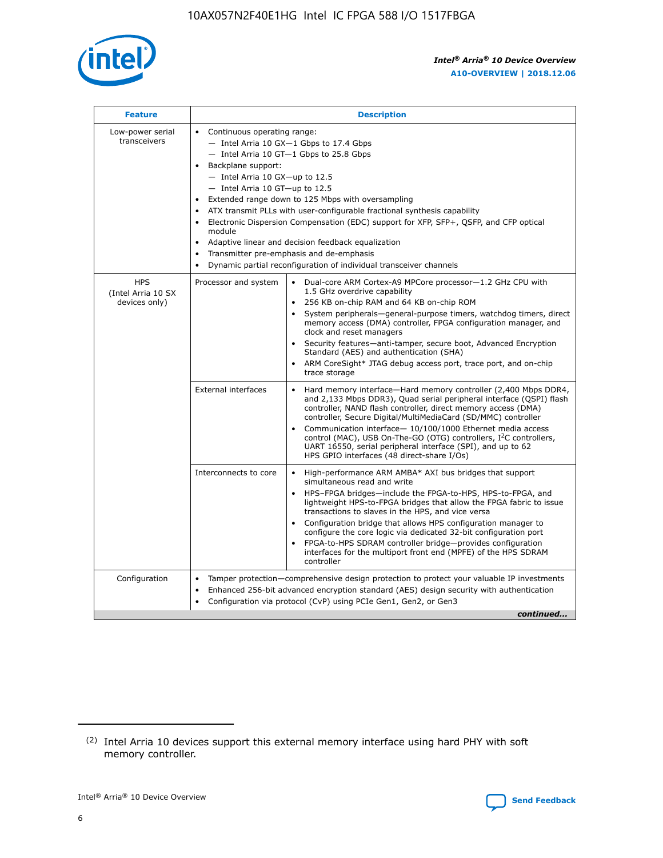

| <b>Feature</b>                                    | <b>Description</b>                                                                                                                                                                                                                                                                                                                                                                                                                                                                                                                                                                                                                                    |
|---------------------------------------------------|-------------------------------------------------------------------------------------------------------------------------------------------------------------------------------------------------------------------------------------------------------------------------------------------------------------------------------------------------------------------------------------------------------------------------------------------------------------------------------------------------------------------------------------------------------------------------------------------------------------------------------------------------------|
| Low-power serial<br>transceivers                  | • Continuous operating range:<br>- Intel Arria 10 GX-1 Gbps to 17.4 Gbps<br>- Intel Arria 10 GT-1 Gbps to 25.8 Gbps<br>Backplane support:<br>$-$ Intel Arria 10 GX-up to 12.5<br>- Intel Arria 10 GT-up to 12.5<br>Extended range down to 125 Mbps with oversampling<br>ATX transmit PLLs with user-configurable fractional synthesis capability<br>Electronic Dispersion Compensation (EDC) support for XFP, SFP+, QSFP, and CFP optical<br>module<br>Adaptive linear and decision feedback equalization<br>$\bullet$<br>Transmitter pre-emphasis and de-emphasis<br>$\bullet$<br>Dynamic partial reconfiguration of individual transceiver channels |
| <b>HPS</b><br>(Intel Arria 10 SX<br>devices only) | • Dual-core ARM Cortex-A9 MPCore processor-1.2 GHz CPU with<br>Processor and system<br>1.5 GHz overdrive capability<br>256 KB on-chip RAM and 64 KB on-chip ROM<br>$\bullet$<br>System peripherals—general-purpose timers, watchdog timers, direct<br>memory access (DMA) controller, FPGA configuration manager, and<br>clock and reset managers<br>Security features—anti-tamper, secure boot, Advanced Encryption<br>$\bullet$<br>Standard (AES) and authentication (SHA)<br>ARM CoreSight* JTAG debug access port, trace port, and on-chip<br>$\bullet$<br>trace storage                                                                          |
|                                                   | <b>External interfaces</b><br>Hard memory interface-Hard memory controller (2,400 Mbps DDR4,<br>$\bullet$<br>and 2,133 Mbps DDR3), Quad serial peripheral interface (QSPI) flash<br>controller, NAND flash controller, direct memory access (DMA)<br>controller, Secure Digital/MultiMediaCard (SD/MMC) controller<br>Communication interface-10/100/1000 Ethernet media access<br>$\bullet$<br>control (MAC), USB On-The-GO (OTG) controllers, I <sup>2</sup> C controllers,<br>UART 16550, serial peripheral interface (SPI), and up to 62<br>HPS GPIO interfaces (48 direct-share I/Os)                                                            |
|                                                   | High-performance ARM AMBA* AXI bus bridges that support<br>Interconnects to core<br>$\bullet$<br>simultaneous read and write<br>HPS-FPGA bridges-include the FPGA-to-HPS, HPS-to-FPGA, and<br>$\bullet$<br>lightweight HPS-to-FPGA bridges that allow the FPGA fabric to issue<br>transactions to slaves in the HPS, and vice versa<br>Configuration bridge that allows HPS configuration manager to<br>configure the core logic via dedicated 32-bit configuration port<br>FPGA-to-HPS SDRAM controller bridge-provides configuration<br>interfaces for the multiport front end (MPFE) of the HPS SDRAM<br>controller                                |
| Configuration                                     | Tamper protection—comprehensive design protection to protect your valuable IP investments<br>Enhanced 256-bit advanced encryption standard (AES) design security with authentication<br>٠<br>Configuration via protocol (CvP) using PCIe Gen1, Gen2, or Gen3<br>continued                                                                                                                                                                                                                                                                                                                                                                             |

<sup>(2)</sup> Intel Arria 10 devices support this external memory interface using hard PHY with soft memory controller.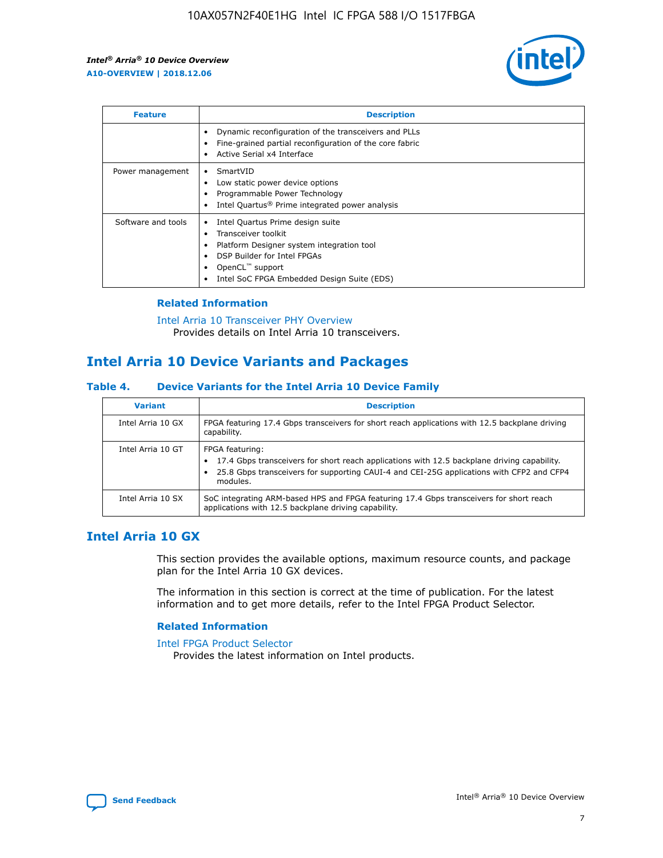

| <b>Feature</b>     | <b>Description</b>                                                                                                                                                                                                            |
|--------------------|-------------------------------------------------------------------------------------------------------------------------------------------------------------------------------------------------------------------------------|
|                    | Dynamic reconfiguration of the transceivers and PLLs<br>Fine-grained partial reconfiguration of the core fabric<br>Active Serial x4 Interface<br>$\bullet$                                                                    |
| Power management   | SmartVID<br>Low static power device options<br>Programmable Power Technology<br>Intel Quartus <sup>®</sup> Prime integrated power analysis                                                                                    |
| Software and tools | Intel Quartus Prime design suite<br>Transceiver toolkit<br>$\bullet$<br>Platform Designer system integration tool<br>DSP Builder for Intel FPGAs<br>OpenCL <sup>"</sup> support<br>Intel SoC FPGA Embedded Design Suite (EDS) |

## **Related Information**

[Intel Arria 10 Transceiver PHY Overview](https://www.intel.com/content/www/us/en/programmable/documentation/nik1398707230472.html#nik1398706768037) Provides details on Intel Arria 10 transceivers.

## **Intel Arria 10 Device Variants and Packages**

#### **Table 4. Device Variants for the Intel Arria 10 Device Family**

| <b>Variant</b>    | <b>Description</b>                                                                                                                                                                                                     |
|-------------------|------------------------------------------------------------------------------------------------------------------------------------------------------------------------------------------------------------------------|
| Intel Arria 10 GX | FPGA featuring 17.4 Gbps transceivers for short reach applications with 12.5 backplane driving<br>capability.                                                                                                          |
| Intel Arria 10 GT | FPGA featuring:<br>17.4 Gbps transceivers for short reach applications with 12.5 backplane driving capability.<br>25.8 Gbps transceivers for supporting CAUI-4 and CEI-25G applications with CFP2 and CFP4<br>modules. |
| Intel Arria 10 SX | SoC integrating ARM-based HPS and FPGA featuring 17.4 Gbps transceivers for short reach<br>applications with 12.5 backplane driving capability.                                                                        |

## **Intel Arria 10 GX**

This section provides the available options, maximum resource counts, and package plan for the Intel Arria 10 GX devices.

The information in this section is correct at the time of publication. For the latest information and to get more details, refer to the Intel FPGA Product Selector.

#### **Related Information**

#### [Intel FPGA Product Selector](http://www.altera.com/products/selector/psg-selector.html) Provides the latest information on Intel products.

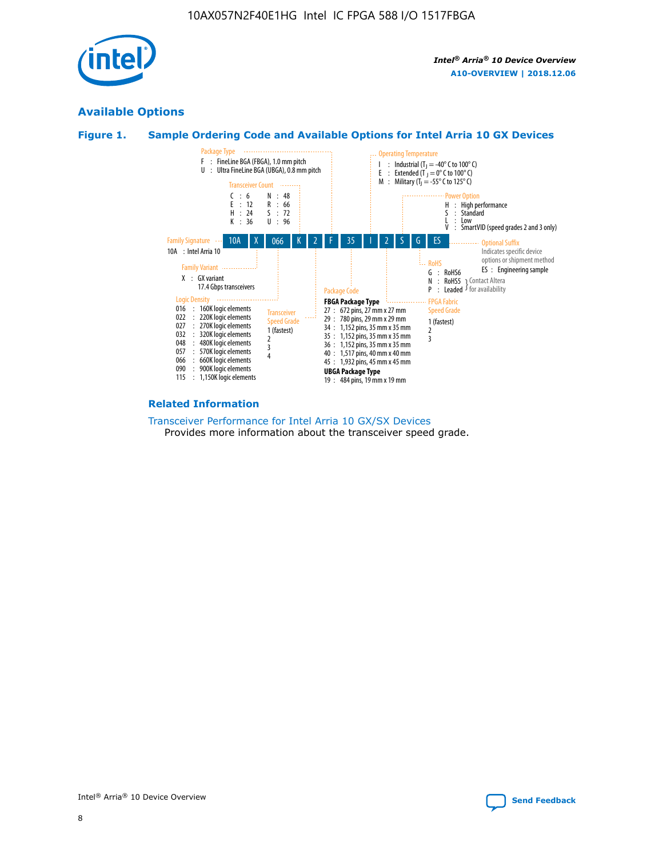

## **Available Options**





#### **Related Information**

[Transceiver Performance for Intel Arria 10 GX/SX Devices](https://www.intel.com/content/www/us/en/programmable/documentation/mcn1413182292568.html#mcn1413213965502) Provides more information about the transceiver speed grade.

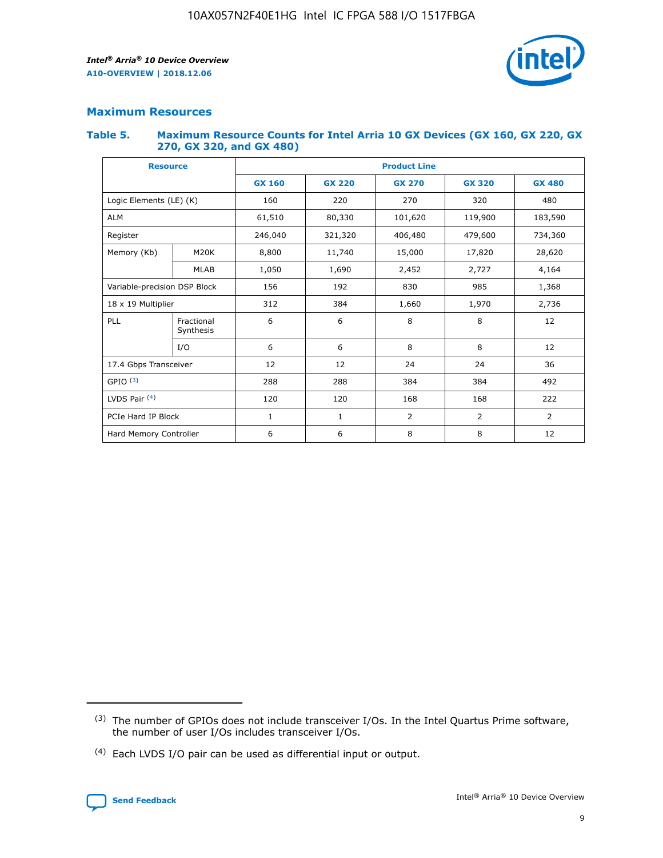

## **Maximum Resources**

#### **Table 5. Maximum Resource Counts for Intel Arria 10 GX Devices (GX 160, GX 220, GX 270, GX 320, and GX 480)**

| <b>Resource</b>         |                                                          | <b>Product Line</b> |                                                 |         |                |                |  |  |
|-------------------------|----------------------------------------------------------|---------------------|-------------------------------------------------|---------|----------------|----------------|--|--|
|                         |                                                          | <b>GX 160</b>       | <b>GX 220</b><br><b>GX 270</b><br><b>GX 320</b> |         |                | <b>GX 480</b>  |  |  |
| Logic Elements (LE) (K) |                                                          | 160                 | 220                                             | 270     | 320            | 480            |  |  |
| <b>ALM</b>              |                                                          | 61,510              | 80,330                                          | 101,620 | 119,900        | 183,590        |  |  |
| Register                |                                                          | 246,040             | 321,320                                         | 406,480 | 479,600        | 734,360        |  |  |
| Memory (Kb)             | M <sub>20</sub> K                                        | 8,800               | 11,740                                          | 15,000  | 17,820         | 28,620         |  |  |
|                         | <b>MLAB</b>                                              | 1,050               | 1,690                                           | 2,452   | 2,727          | 4,164          |  |  |
|                         | Variable-precision DSP Block<br>156<br>192<br>830<br>985 |                     |                                                 |         | 1,368          |                |  |  |
| 18 x 19 Multiplier      |                                                          | 312                 | 384                                             | 1,660   | 1,970          | 2,736          |  |  |
| PLL                     | Fractional<br>Synthesis                                  | 6                   | 6                                               | 8       | 8              | 12             |  |  |
|                         | I/O                                                      | 6                   | 6                                               | 8       | 8              | 12             |  |  |
| 17.4 Gbps Transceiver   |                                                          | 12                  | 12                                              | 24      | 24             |                |  |  |
| GPIO <sup>(3)</sup>     |                                                          | 288                 | 288                                             | 384     | 384            | 492            |  |  |
| LVDS Pair $(4)$         |                                                          | 120                 | 120                                             | 168     | 168            | 222            |  |  |
| PCIe Hard IP Block      |                                                          | 1                   | 1                                               | 2       | $\overline{2}$ | $\overline{2}$ |  |  |
| Hard Memory Controller  |                                                          | 6                   | 6                                               | 8       | 8              | 12             |  |  |

<sup>(4)</sup> Each LVDS I/O pair can be used as differential input or output.



<sup>(3)</sup> The number of GPIOs does not include transceiver I/Os. In the Intel Quartus Prime software, the number of user I/Os includes transceiver I/Os.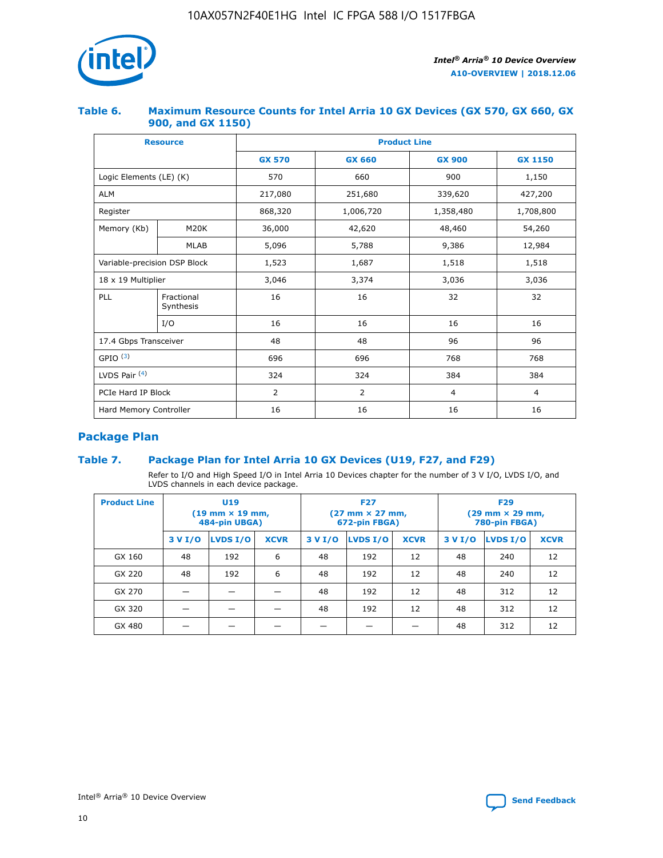

## **Table 6. Maximum Resource Counts for Intel Arria 10 GX Devices (GX 570, GX 660, GX 900, and GX 1150)**

|                              | <b>Resource</b>         | <b>Product Line</b> |                |                |                |  |  |  |
|------------------------------|-------------------------|---------------------|----------------|----------------|----------------|--|--|--|
|                              |                         | <b>GX 570</b>       | <b>GX 660</b>  |                | <b>GX 1150</b> |  |  |  |
| Logic Elements (LE) (K)      |                         | 570                 | 660            | 900            | 1,150          |  |  |  |
| <b>ALM</b>                   |                         | 217,080             | 251,680        | 339,620        | 427,200        |  |  |  |
| Register                     |                         | 868,320             | 1,006,720      | 1,358,480      | 1,708,800      |  |  |  |
| Memory (Kb)                  | <b>M20K</b>             | 36,000              | 42,620         | 48,460         | 54,260         |  |  |  |
|                              | <b>MLAB</b>             | 5,096               | 5,788<br>9,386 |                | 12,984         |  |  |  |
| Variable-precision DSP Block |                         | 1,523               | 1,687          | 1,518          | 1,518          |  |  |  |
| $18 \times 19$ Multiplier    |                         | 3,046               | 3,374          | 3,036          | 3,036          |  |  |  |
| PLL                          | Fractional<br>Synthesis | 16                  | 16             | 32             | 32             |  |  |  |
|                              | I/O                     | 16                  | 16             | 16             | 16             |  |  |  |
| 17.4 Gbps Transceiver        |                         | 48                  | 48             | 96             | 96             |  |  |  |
| GPIO <sup>(3)</sup>          |                         | 696                 | 696            | 768            | 768            |  |  |  |
| LVDS Pair $(4)$              |                         | 324                 | 324<br>384     |                | 384            |  |  |  |
| PCIe Hard IP Block           |                         | 2                   | $\overline{2}$ | $\overline{4}$ | 4              |  |  |  |
| Hard Memory Controller       |                         | 16                  | 16             | 16             | 16             |  |  |  |

## **Package Plan**

## **Table 7. Package Plan for Intel Arria 10 GX Devices (U19, F27, and F29)**

Refer to I/O and High Speed I/O in Intel Arria 10 Devices chapter for the number of 3 V I/O, LVDS I/O, and LVDS channels in each device package.

| <b>Product Line</b> | U <sub>19</sub><br>$(19 \text{ mm} \times 19 \text{ mm})$<br>484-pin UBGA) |          |             |         | <b>F27</b><br>(27 mm × 27 mm,<br>672-pin FBGA) |             | <b>F29</b><br>(29 mm × 29 mm,<br>780-pin FBGA) |          |             |  |
|---------------------|----------------------------------------------------------------------------|----------|-------------|---------|------------------------------------------------|-------------|------------------------------------------------|----------|-------------|--|
|                     | 3 V I/O                                                                    | LVDS I/O | <b>XCVR</b> | 3 V I/O | LVDS I/O                                       | <b>XCVR</b> | 3 V I/O                                        | LVDS I/O | <b>XCVR</b> |  |
| GX 160              | 48                                                                         | 192      | 6           | 48      | 192                                            | 12          | 48                                             | 240      | 12          |  |
| GX 220              | 48                                                                         | 192      | 6           | 48      | 192                                            | 12          | 48                                             | 240      | 12          |  |
| GX 270              |                                                                            |          |             | 48      | 192                                            | 12          | 48                                             | 312      | 12          |  |
| GX 320              |                                                                            |          |             | 48      | 192                                            | 12          | 48                                             | 312      | 12          |  |
| GX 480              |                                                                            |          |             |         |                                                |             | 48                                             | 312      | 12          |  |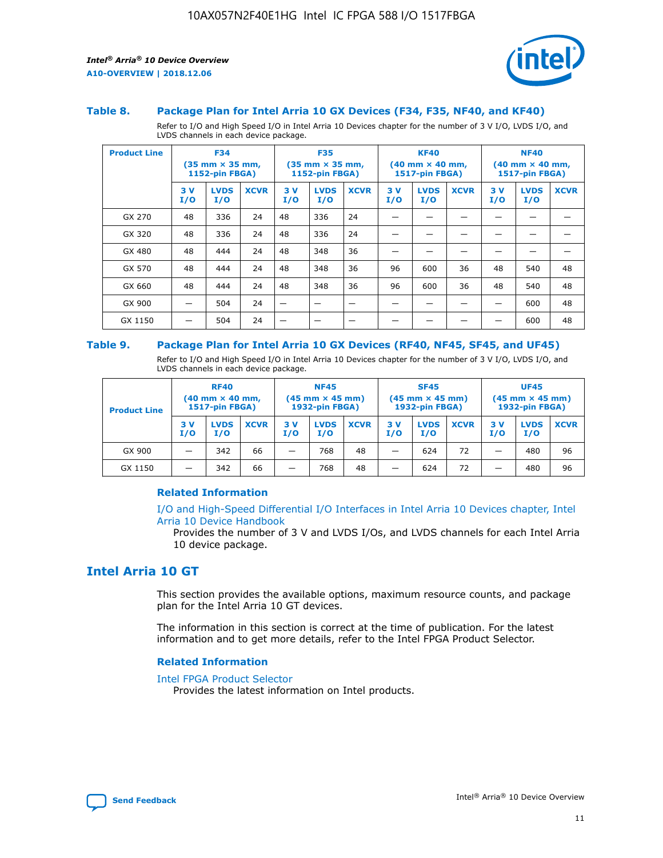

#### **Table 8. Package Plan for Intel Arria 10 GX Devices (F34, F35, NF40, and KF40)**

Refer to I/O and High Speed I/O in Intel Arria 10 Devices chapter for the number of 3 V I/O, LVDS I/O, and LVDS channels in each device package.

| <b>Product Line</b> | <b>F34</b><br>$(35 \text{ mm} \times 35 \text{ mm})$<br>1152-pin FBGA) |                    | <b>F35</b><br>$(35$ mm $\times$ 35 mm,<br><b>1152-pin FBGA)</b> |           | <b>KF40</b><br>$(40 \text{ mm} \times 40 \text{ mm})$<br>1517-pin FBGA) |                          |           | <b>NF40</b><br>$(40 \text{ mm} \times 40 \text{ mm})$<br><b>1517-pin FBGA)</b> |             |            |                    |             |
|---------------------|------------------------------------------------------------------------|--------------------|-----------------------------------------------------------------|-----------|-------------------------------------------------------------------------|--------------------------|-----------|--------------------------------------------------------------------------------|-------------|------------|--------------------|-------------|
|                     | 3V<br>I/O                                                              | <b>LVDS</b><br>I/O | <b>XCVR</b>                                                     | 3V<br>I/O | <b>LVDS</b><br>I/O                                                      | <b>XCVR</b>              | 3V<br>I/O | <b>LVDS</b><br>I/O                                                             | <b>XCVR</b> | 3 V<br>I/O | <b>LVDS</b><br>I/O | <b>XCVR</b> |
| GX 270              | 48                                                                     | 336                | 24                                                              | 48        | 336                                                                     | 24                       |           |                                                                                |             |            |                    |             |
| GX 320              | 48                                                                     | 336                | 24                                                              | 48        | 336                                                                     | 24                       |           |                                                                                |             |            |                    |             |
| GX 480              | 48                                                                     | 444                | 24                                                              | 48        | 348                                                                     | 36                       |           |                                                                                |             |            |                    |             |
| GX 570              | 48                                                                     | 444                | 24                                                              | 48        | 348                                                                     | 36                       | 96        | 600                                                                            | 36          | 48         | 540                | 48          |
| GX 660              | 48                                                                     | 444                | 24                                                              | 48        | 348                                                                     | 36                       | 96        | 600                                                                            | 36          | 48         | 540                | 48          |
| GX 900              |                                                                        | 504                | 24                                                              | –         |                                                                         | $\overline{\phantom{a}}$ |           |                                                                                |             |            | 600                | 48          |
| GX 1150             |                                                                        | 504                | 24                                                              |           |                                                                         |                          |           |                                                                                |             |            | 600                | 48          |

#### **Table 9. Package Plan for Intel Arria 10 GX Devices (RF40, NF45, SF45, and UF45)**

Refer to I/O and High Speed I/O in Intel Arria 10 Devices chapter for the number of 3 V I/O, LVDS I/O, and LVDS channels in each device package.

| <b>Product Line</b> | <b>RF40</b><br>$(40 \text{ mm} \times 40 \text{ mm})$<br>1517-pin FBGA) |                    |             | <b>NF45</b><br>$(45 \text{ mm} \times 45 \text{ mm})$<br><b>1932-pin FBGA)</b> |                    |             | <b>SF45</b><br>$(45 \text{ mm} \times 45 \text{ mm})$<br><b>1932-pin FBGA)</b> |                    |             | <b>UF45</b><br>$(45 \text{ mm} \times 45 \text{ mm})$<br><b>1932-pin FBGA)</b> |                    |             |
|---------------------|-------------------------------------------------------------------------|--------------------|-------------|--------------------------------------------------------------------------------|--------------------|-------------|--------------------------------------------------------------------------------|--------------------|-------------|--------------------------------------------------------------------------------|--------------------|-------------|
|                     | 3V<br>I/O                                                               | <b>LVDS</b><br>I/O | <b>XCVR</b> | 3V<br>I/O                                                                      | <b>LVDS</b><br>I/O | <b>XCVR</b> | 3V<br>I/O                                                                      | <b>LVDS</b><br>I/O | <b>XCVR</b> | 3V<br>I/O                                                                      | <b>LVDS</b><br>I/O | <b>XCVR</b> |
| GX 900              |                                                                         | 342                | 66          | -                                                                              | 768                | 48          | _                                                                              | 624                | 72          |                                                                                | 480                | 96          |
| GX 1150             |                                                                         | 342                | 66          | -                                                                              | 768                | 48          | -                                                                              | 624                | 72          |                                                                                | 480                | 96          |

### **Related Information**

[I/O and High-Speed Differential I/O Interfaces in Intel Arria 10 Devices chapter, Intel](https://www.intel.com/content/www/us/en/programmable/documentation/sam1403482614086.html#sam1403482030321) [Arria 10 Device Handbook](https://www.intel.com/content/www/us/en/programmable/documentation/sam1403482614086.html#sam1403482030321)

Provides the number of 3 V and LVDS I/Os, and LVDS channels for each Intel Arria 10 device package.

## **Intel Arria 10 GT**

This section provides the available options, maximum resource counts, and package plan for the Intel Arria 10 GT devices.

The information in this section is correct at the time of publication. For the latest information and to get more details, refer to the Intel FPGA Product Selector.

#### **Related Information**

#### [Intel FPGA Product Selector](http://www.altera.com/products/selector/psg-selector.html)

Provides the latest information on Intel products.

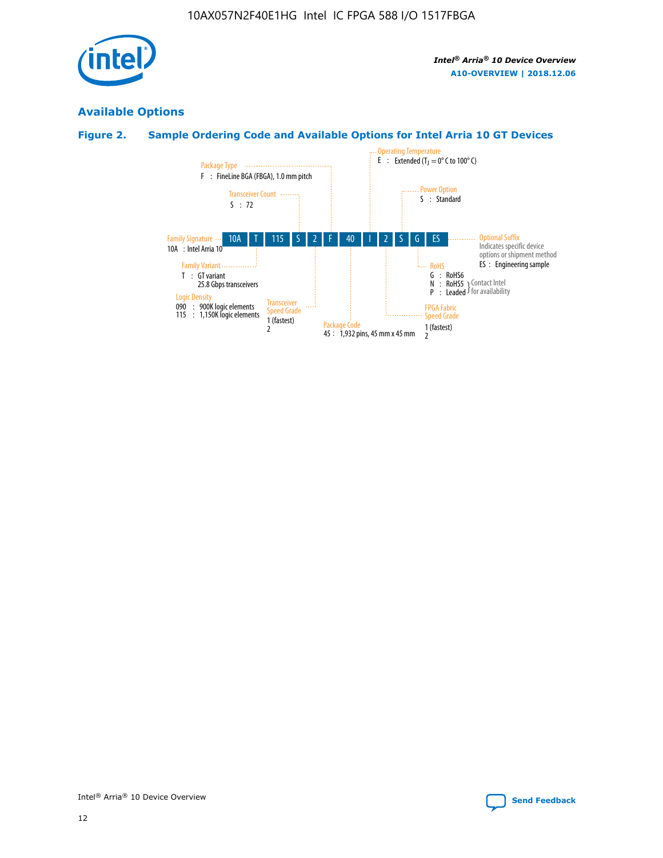

# **Available Options**

# **Figure 2. Sample Ordering Code and Available Options for Intel Arria 10 GT Devices**

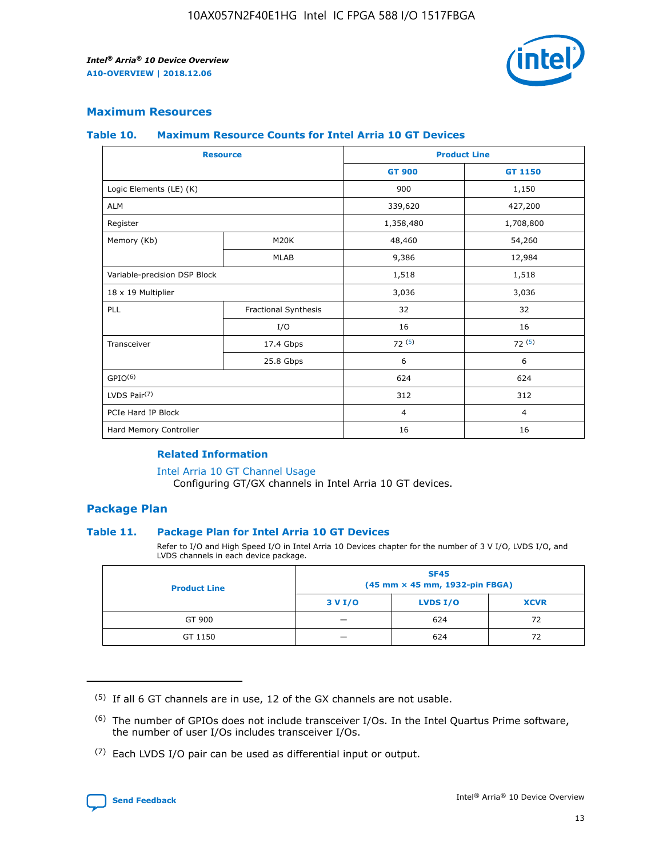

## **Maximum Resources**

#### **Table 10. Maximum Resource Counts for Intel Arria 10 GT Devices**

| <b>Resource</b>              |                      | <b>Product Line</b> |                |  |
|------------------------------|----------------------|---------------------|----------------|--|
|                              |                      | <b>GT 900</b>       | <b>GT 1150</b> |  |
| Logic Elements (LE) (K)      |                      | 900                 | 1,150          |  |
| <b>ALM</b>                   |                      | 339,620             | 427,200        |  |
| Register                     |                      | 1,358,480           | 1,708,800      |  |
| Memory (Kb)                  | M20K                 | 48,460              | 54,260         |  |
|                              | <b>MLAB</b>          | 9,386               | 12,984         |  |
| Variable-precision DSP Block |                      | 1,518               | 1,518          |  |
| 18 x 19 Multiplier           |                      | 3,036               | 3,036          |  |
| PLL                          | Fractional Synthesis | 32                  | 32             |  |
|                              | I/O                  | 16                  | 16             |  |
| Transceiver                  | 17.4 Gbps            | 72(5)               | 72(5)          |  |
|                              | 25.8 Gbps            | 6                   | 6              |  |
| GPIO <sup>(6)</sup>          |                      | 624                 | 624            |  |
| LVDS Pair $(7)$              |                      | 312                 | 312            |  |
| PCIe Hard IP Block           |                      | $\overline{4}$      | $\overline{4}$ |  |
| Hard Memory Controller       |                      | 16                  | 16             |  |

#### **Related Information**

#### [Intel Arria 10 GT Channel Usage](https://www.intel.com/content/www/us/en/programmable/documentation/nik1398707230472.html#nik1398707008178)

Configuring GT/GX channels in Intel Arria 10 GT devices.

## **Package Plan**

### **Table 11. Package Plan for Intel Arria 10 GT Devices**

Refer to I/O and High Speed I/O in Intel Arria 10 Devices chapter for the number of 3 V I/O, LVDS I/O, and LVDS channels in each device package.

| <b>Product Line</b> | <b>SF45</b><br>(45 mm × 45 mm, 1932-pin FBGA) |                 |             |  |  |  |
|---------------------|-----------------------------------------------|-----------------|-------------|--|--|--|
|                     | 3 V I/O                                       | <b>LVDS I/O</b> | <b>XCVR</b> |  |  |  |
| GT 900              |                                               | 624             | 72          |  |  |  |
| GT 1150             |                                               | 624             | 72          |  |  |  |

<sup>(7)</sup> Each LVDS I/O pair can be used as differential input or output.



 $(5)$  If all 6 GT channels are in use, 12 of the GX channels are not usable.

<sup>(6)</sup> The number of GPIOs does not include transceiver I/Os. In the Intel Quartus Prime software, the number of user I/Os includes transceiver I/Os.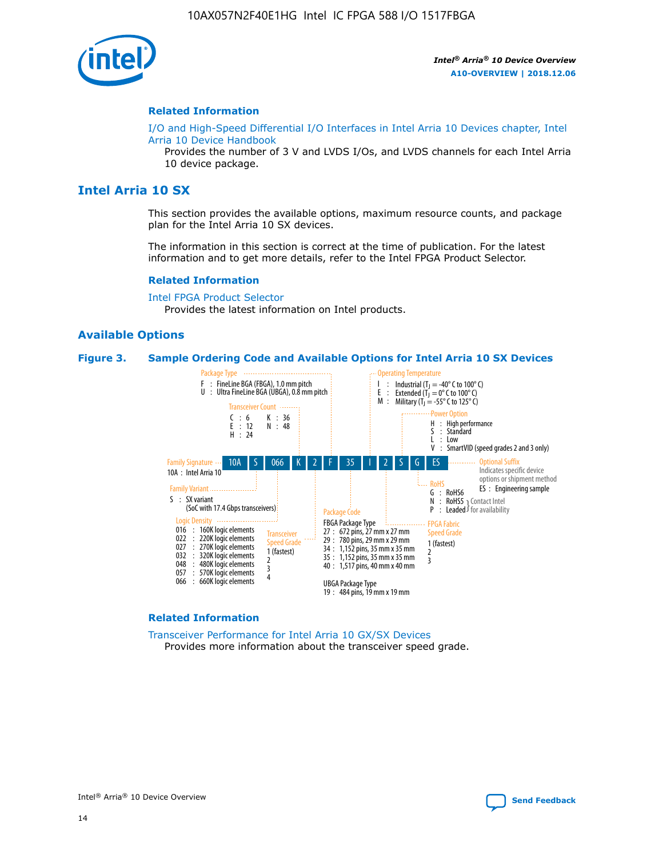

#### **Related Information**

[I/O and High-Speed Differential I/O Interfaces in Intel Arria 10 Devices chapter, Intel](https://www.intel.com/content/www/us/en/programmable/documentation/sam1403482614086.html#sam1403482030321) [Arria 10 Device Handbook](https://www.intel.com/content/www/us/en/programmable/documentation/sam1403482614086.html#sam1403482030321)

Provides the number of 3 V and LVDS I/Os, and LVDS channels for each Intel Arria 10 device package.

## **Intel Arria 10 SX**

This section provides the available options, maximum resource counts, and package plan for the Intel Arria 10 SX devices.

The information in this section is correct at the time of publication. For the latest information and to get more details, refer to the Intel FPGA Product Selector.

#### **Related Information**

[Intel FPGA Product Selector](http://www.altera.com/products/selector/psg-selector.html) Provides the latest information on Intel products.

#### **Available Options**

#### **Figure 3. Sample Ordering Code and Available Options for Intel Arria 10 SX Devices**



#### **Related Information**

[Transceiver Performance for Intel Arria 10 GX/SX Devices](https://www.intel.com/content/www/us/en/programmable/documentation/mcn1413182292568.html#mcn1413213965502) Provides more information about the transceiver speed grade.

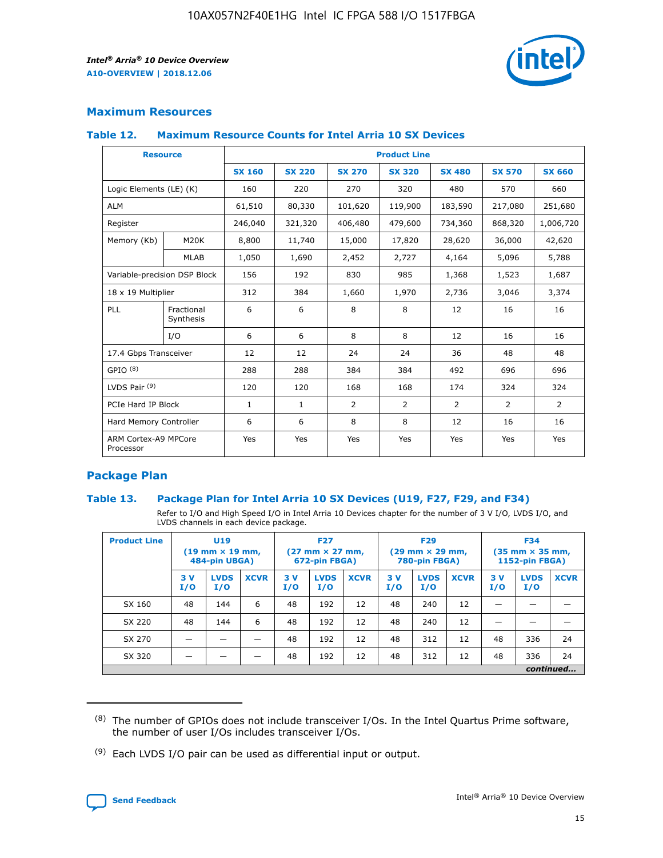

## **Maximum Resources**

#### **Table 12. Maximum Resource Counts for Intel Arria 10 SX Devices**

| <b>Resource</b>                   |                         | <b>Product Line</b> |               |                |                |                |                |                |  |  |  |
|-----------------------------------|-------------------------|---------------------|---------------|----------------|----------------|----------------|----------------|----------------|--|--|--|
|                                   |                         | <b>SX 160</b>       | <b>SX 220</b> | <b>SX 270</b>  | <b>SX 320</b>  | <b>SX 480</b>  | <b>SX 570</b>  | <b>SX 660</b>  |  |  |  |
| Logic Elements (LE) (K)           |                         | 160                 | 220           | 270            | 320            | 480            | 570            | 660            |  |  |  |
| <b>ALM</b>                        |                         | 61,510              | 80,330        | 101,620        | 119,900        | 183,590        | 217,080        | 251,680        |  |  |  |
| Register                          |                         | 246,040             | 321,320       | 406,480        | 479,600        | 734,360        | 868,320        | 1,006,720      |  |  |  |
| Memory (Kb)                       | M <sub>20</sub> K       | 8,800               | 11,740        | 15,000         | 17,820         | 28,620         | 36,000         | 42,620         |  |  |  |
|                                   | <b>MLAB</b>             | 1,050               | 1,690         | 2,452          | 2,727          | 4,164          | 5,096          | 5,788          |  |  |  |
| Variable-precision DSP Block      |                         | 156                 | 192           | 830            | 985            | 1,368          | 1,523          | 1,687          |  |  |  |
| 18 x 19 Multiplier                |                         | 312                 | 384           | 1,660          | 1,970          | 2,736          | 3,046          | 3,374          |  |  |  |
| PLL                               | Fractional<br>Synthesis | 6                   | 6             | 8              | 8              | 12             | 16             | 16             |  |  |  |
|                                   | I/O                     | 6                   | 6             | 8              | 8              | 12             | 16             | 16             |  |  |  |
| 17.4 Gbps Transceiver             |                         | 12                  | 12            | 24             | 24             | 36             | 48             | 48             |  |  |  |
| GPIO <sup>(8)</sup>               |                         | 288                 | 288           | 384            | 384            | 492            | 696            | 696            |  |  |  |
| LVDS Pair $(9)$                   |                         | 120                 | 120           | 168            | 168            | 174            | 324            | 324            |  |  |  |
| PCIe Hard IP Block                |                         | $\mathbf{1}$        | $\mathbf{1}$  | $\overline{2}$ | $\overline{2}$ | $\overline{2}$ | $\overline{2}$ | $\overline{2}$ |  |  |  |
| Hard Memory Controller            |                         | 6                   | 6             | 8              | 8              | 12             | 16             | 16             |  |  |  |
| ARM Cortex-A9 MPCore<br>Processor |                         | Yes                 | Yes           | Yes            | Yes            | Yes            | Yes            | <b>Yes</b>     |  |  |  |

## **Package Plan**

### **Table 13. Package Plan for Intel Arria 10 SX Devices (U19, F27, F29, and F34)**

Refer to I/O and High Speed I/O in Intel Arria 10 Devices chapter for the number of 3 V I/O, LVDS I/O, and LVDS channels in each device package.

| <b>Product Line</b> | U19<br>$(19 \text{ mm} \times 19 \text{ mm})$ .<br>484-pin UBGA) |                    |             | <b>F27</b><br>$(27 \text{ mm} \times 27 \text{ mm})$<br>672-pin FBGA) |                    | <b>F29</b><br>$(29 \text{ mm} \times 29 \text{ mm})$<br>780-pin FBGA) |           |                    | <b>F34</b><br>$(35 \text{ mm} \times 35 \text{ mm})$<br><b>1152-pin FBGA)</b> |           |                    |             |
|---------------------|------------------------------------------------------------------|--------------------|-------------|-----------------------------------------------------------------------|--------------------|-----------------------------------------------------------------------|-----------|--------------------|-------------------------------------------------------------------------------|-----------|--------------------|-------------|
|                     | 3V<br>I/O                                                        | <b>LVDS</b><br>I/O | <b>XCVR</b> | 3V<br>I/O                                                             | <b>LVDS</b><br>I/O | <b>XCVR</b>                                                           | 3V<br>I/O | <b>LVDS</b><br>I/O | <b>XCVR</b>                                                                   | 3V<br>I/O | <b>LVDS</b><br>I/O | <b>XCVR</b> |
| SX 160              | 48                                                               | 144                | 6           | 48                                                                    | 192                | 12                                                                    | 48        | 240                | 12                                                                            |           |                    |             |
| SX 220              | 48                                                               | 144                | 6           | 48                                                                    | 192                | 12                                                                    | 48        | 240                | 12                                                                            |           |                    |             |
| SX 270              |                                                                  |                    |             | 48                                                                    | 192                | 12                                                                    | 48        | 312                | 12                                                                            | 48        | 336                | 24          |
| SX 320              |                                                                  |                    |             | 48                                                                    | 192                | 12                                                                    | 48        | 312                | 12                                                                            | 48        | 336                | 24          |
|                     | continued                                                        |                    |             |                                                                       |                    |                                                                       |           |                    |                                                                               |           |                    |             |

 $(8)$  The number of GPIOs does not include transceiver I/Os. In the Intel Quartus Prime software, the number of user I/Os includes transceiver I/Os.

 $(9)$  Each LVDS I/O pair can be used as differential input or output.

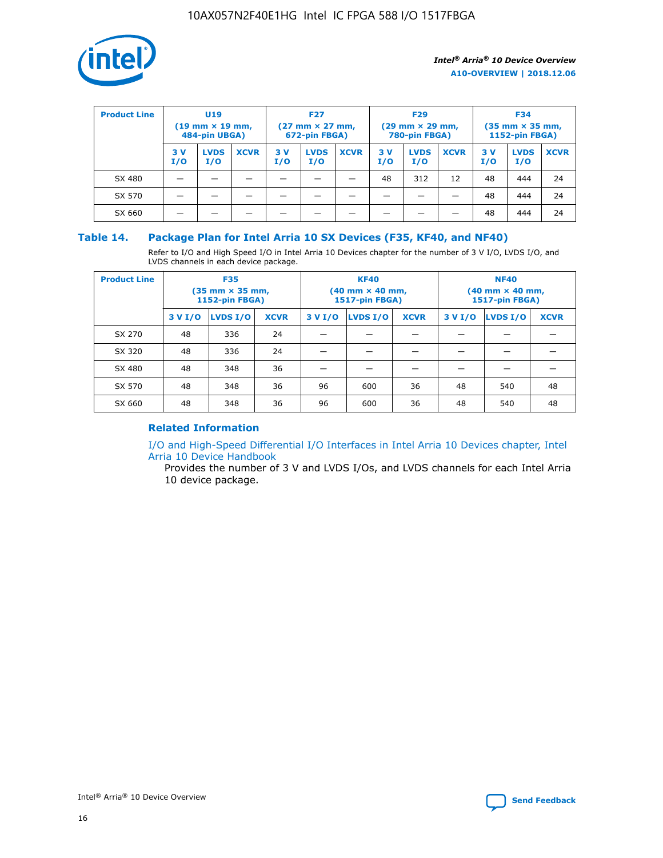

| <b>Product Line</b> | U <sub>19</sub><br>$(19$ mm $\times$ 19 mm,<br>484-pin UBGA) |                    |             | <b>F27</b><br>$(27 \text{ mm} \times 27 \text{ mm})$<br>672-pin FBGA) |                    |             | <b>F29</b><br>$(29 \text{ mm} \times 29 \text{ mm})$<br>780-pin FBGA) |                    |             | <b>F34</b><br>$(35$ mm $\times$ 35 mm,<br>1152-pin FBGA) |                    |             |
|---------------------|--------------------------------------------------------------|--------------------|-------------|-----------------------------------------------------------------------|--------------------|-------------|-----------------------------------------------------------------------|--------------------|-------------|----------------------------------------------------------|--------------------|-------------|
|                     | 3 V<br>I/O                                                   | <b>LVDS</b><br>I/O | <b>XCVR</b> | 3V<br>I/O                                                             | <b>LVDS</b><br>I/O | <b>XCVR</b> | 3V<br>I/O                                                             | <b>LVDS</b><br>I/O | <b>XCVR</b> | 3V<br>I/O                                                | <b>LVDS</b><br>I/O | <b>XCVR</b> |
| SX 480              |                                                              |                    |             |                                                                       |                    |             | 48                                                                    | 312                | 12          | 48                                                       | 444                | 24          |
| SX 570              |                                                              |                    |             |                                                                       |                    |             |                                                                       |                    |             | 48                                                       | 444                | 24          |
| SX 660              |                                                              |                    |             |                                                                       |                    |             |                                                                       |                    |             | 48                                                       | 444                | 24          |

## **Table 14. Package Plan for Intel Arria 10 SX Devices (F35, KF40, and NF40)**

Refer to I/O and High Speed I/O in Intel Arria 10 Devices chapter for the number of 3 V I/O, LVDS I/O, and LVDS channels in each device package.

| <b>Product Line</b> | <b>F35</b><br>$(35 \text{ mm} \times 35 \text{ mm})$<br><b>1152-pin FBGA)</b> |          |             |                                           | <b>KF40</b><br>(40 mm × 40 mm,<br>1517-pin FBGA) |    | <b>NF40</b><br>$(40 \text{ mm} \times 40 \text{ mm})$<br>1517-pin FBGA) |          |             |  |
|---------------------|-------------------------------------------------------------------------------|----------|-------------|-------------------------------------------|--------------------------------------------------|----|-------------------------------------------------------------------------|----------|-------------|--|
|                     | 3 V I/O                                                                       | LVDS I/O | <b>XCVR</b> | <b>LVDS I/O</b><br><b>XCVR</b><br>3 V I/O |                                                  |    | 3 V I/O                                                                 | LVDS I/O | <b>XCVR</b> |  |
| SX 270              | 48                                                                            | 336      | 24          |                                           |                                                  |    |                                                                         |          |             |  |
| SX 320              | 48                                                                            | 336      | 24          |                                           |                                                  |    |                                                                         |          |             |  |
| SX 480              | 48                                                                            | 348      | 36          |                                           |                                                  |    |                                                                         |          |             |  |
| SX 570              | 48                                                                            | 348      | 36          | 96                                        | 600                                              | 36 | 48                                                                      | 540      | 48          |  |
| SX 660              | 48                                                                            | 348      | 36          | 96                                        | 600                                              | 36 | 48                                                                      | 540      | 48          |  |

## **Related Information**

[I/O and High-Speed Differential I/O Interfaces in Intel Arria 10 Devices chapter, Intel](https://www.intel.com/content/www/us/en/programmable/documentation/sam1403482614086.html#sam1403482030321) [Arria 10 Device Handbook](https://www.intel.com/content/www/us/en/programmable/documentation/sam1403482614086.html#sam1403482030321)

Provides the number of 3 V and LVDS I/Os, and LVDS channels for each Intel Arria 10 device package.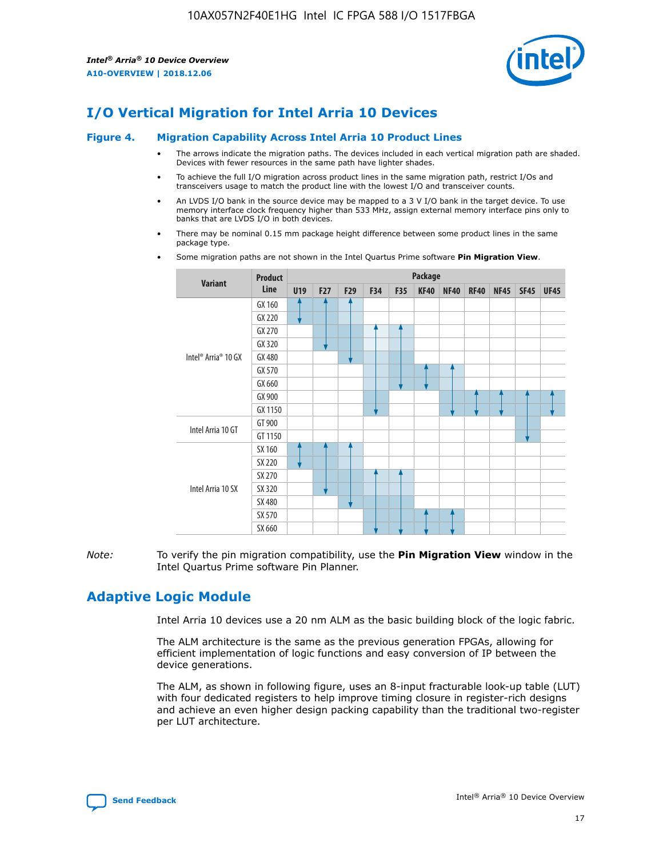

# **I/O Vertical Migration for Intel Arria 10 Devices**

#### **Figure 4. Migration Capability Across Intel Arria 10 Product Lines**

- The arrows indicate the migration paths. The devices included in each vertical migration path are shaded. Devices with fewer resources in the same path have lighter shades.
- To achieve the full I/O migration across product lines in the same migration path, restrict I/Os and transceivers usage to match the product line with the lowest I/O and transceiver counts.
- An LVDS I/O bank in the source device may be mapped to a 3 V I/O bank in the target device. To use memory interface clock frequency higher than 533 MHz, assign external memory interface pins only to banks that are LVDS I/O in both devices.
- There may be nominal 0.15 mm package height difference between some product lines in the same package type.
	- **Variant Product Line Package U19 F27 F29 F34 F35 KF40 NF40 RF40 NF45 SF45 UF45** Intel® Arria® 10 GX GX 160 GX 220 GX 270 GX 320 GX 480 GX 570 GX 660 GX 900 GX 1150 Intel Arria 10 GT GT 900 GT 1150 Intel Arria 10 SX SX 160 SX 220 SX 270 SX 320 SX 480 SX 570 SX 660
- Some migration paths are not shown in the Intel Quartus Prime software **Pin Migration View**.

*Note:* To verify the pin migration compatibility, use the **Pin Migration View** window in the Intel Quartus Prime software Pin Planner.

# **Adaptive Logic Module**

Intel Arria 10 devices use a 20 nm ALM as the basic building block of the logic fabric.

The ALM architecture is the same as the previous generation FPGAs, allowing for efficient implementation of logic functions and easy conversion of IP between the device generations.

The ALM, as shown in following figure, uses an 8-input fracturable look-up table (LUT) with four dedicated registers to help improve timing closure in register-rich designs and achieve an even higher design packing capability than the traditional two-register per LUT architecture.

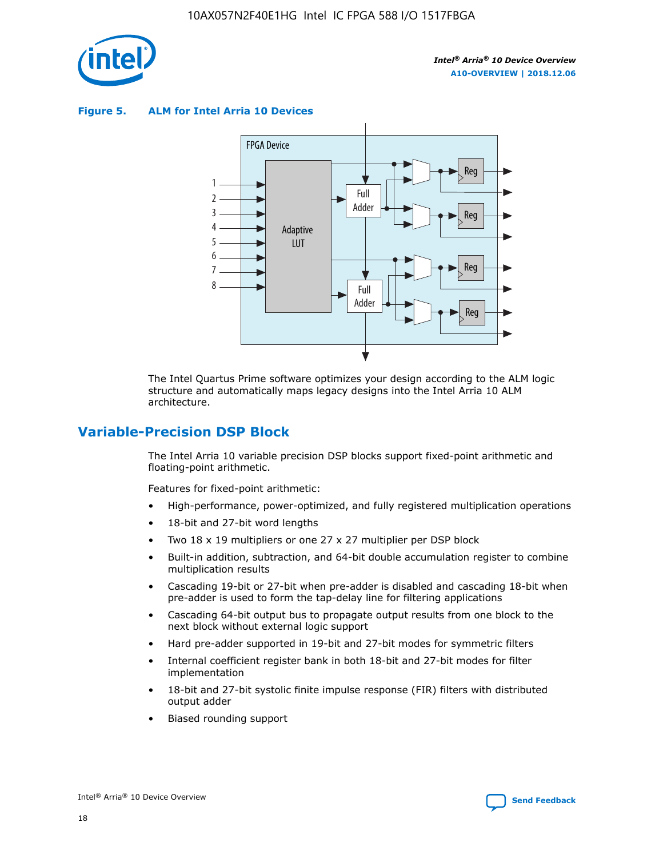

**Figure 5. ALM for Intel Arria 10 Devices**



The Intel Quartus Prime software optimizes your design according to the ALM logic structure and automatically maps legacy designs into the Intel Arria 10 ALM architecture.

## **Variable-Precision DSP Block**

The Intel Arria 10 variable precision DSP blocks support fixed-point arithmetic and floating-point arithmetic.

Features for fixed-point arithmetic:

- High-performance, power-optimized, and fully registered multiplication operations
- 18-bit and 27-bit word lengths
- Two 18 x 19 multipliers or one 27 x 27 multiplier per DSP block
- Built-in addition, subtraction, and 64-bit double accumulation register to combine multiplication results
- Cascading 19-bit or 27-bit when pre-adder is disabled and cascading 18-bit when pre-adder is used to form the tap-delay line for filtering applications
- Cascading 64-bit output bus to propagate output results from one block to the next block without external logic support
- Hard pre-adder supported in 19-bit and 27-bit modes for symmetric filters
- Internal coefficient register bank in both 18-bit and 27-bit modes for filter implementation
- 18-bit and 27-bit systolic finite impulse response (FIR) filters with distributed output adder
- Biased rounding support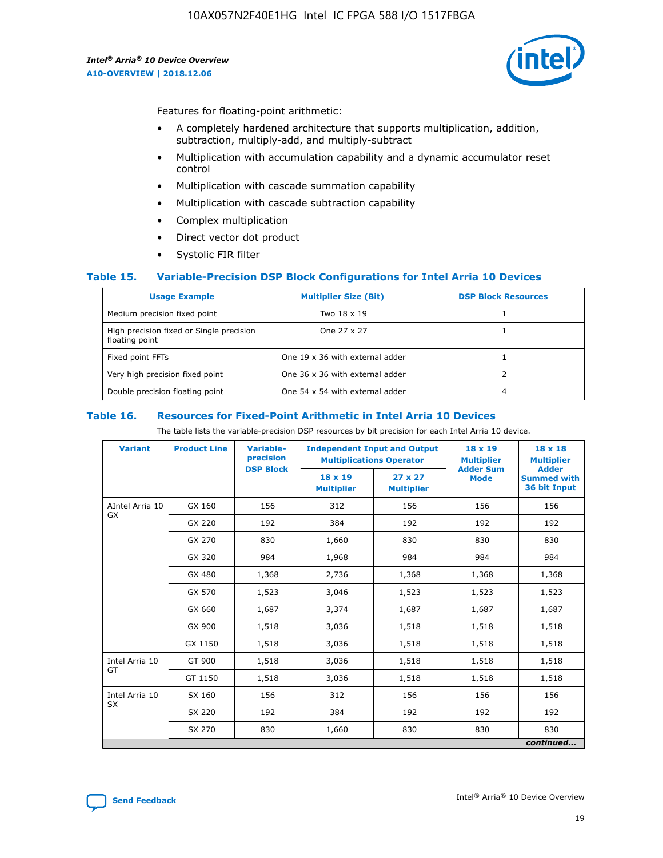

Features for floating-point arithmetic:

- A completely hardened architecture that supports multiplication, addition, subtraction, multiply-add, and multiply-subtract
- Multiplication with accumulation capability and a dynamic accumulator reset control
- Multiplication with cascade summation capability
- Multiplication with cascade subtraction capability
- Complex multiplication
- Direct vector dot product
- Systolic FIR filter

### **Table 15. Variable-Precision DSP Block Configurations for Intel Arria 10 Devices**

| <b>Usage Example</b>                                       | <b>Multiplier Size (Bit)</b>    | <b>DSP Block Resources</b> |
|------------------------------------------------------------|---------------------------------|----------------------------|
| Medium precision fixed point                               | Two 18 x 19                     |                            |
| High precision fixed or Single precision<br>floating point | One 27 x 27                     |                            |
| Fixed point FFTs                                           | One 19 x 36 with external adder |                            |
| Very high precision fixed point                            | One 36 x 36 with external adder |                            |
| Double precision floating point                            | One 54 x 54 with external adder | 4                          |

#### **Table 16. Resources for Fixed-Point Arithmetic in Intel Arria 10 Devices**

The table lists the variable-precision DSP resources by bit precision for each Intel Arria 10 device.

| <b>Variant</b>  | <b>Product Line</b> | Variable-<br>precision<br><b>DSP Block</b> | <b>Independent Input and Output</b><br><b>Multiplications Operator</b> |                                     | 18 x 19<br><b>Multiplier</b><br><b>Adder Sum</b> | $18 \times 18$<br><b>Multiplier</b><br><b>Adder</b> |
|-----------------|---------------------|--------------------------------------------|------------------------------------------------------------------------|-------------------------------------|--------------------------------------------------|-----------------------------------------------------|
|                 |                     |                                            | 18 x 19<br><b>Multiplier</b>                                           | $27 \times 27$<br><b>Multiplier</b> | <b>Mode</b>                                      | <b>Summed with</b><br>36 bit Input                  |
| AIntel Arria 10 | GX 160              | 156                                        | 312                                                                    | 156                                 | 156                                              | 156                                                 |
| GX              | GX 220              | 192                                        | 384                                                                    | 192                                 | 192                                              | 192                                                 |
|                 | GX 270              | 830                                        | 1,660                                                                  | 830                                 | 830                                              | 830                                                 |
|                 | GX 320              | 984                                        | 1,968                                                                  | 984                                 | 984                                              | 984                                                 |
|                 | GX 480              | 1,368                                      | 2,736                                                                  | 1,368                               | 1,368                                            | 1,368                                               |
|                 | GX 570              | 1,523                                      | 3,046                                                                  | 1,523                               | 1,523                                            | 1,523                                               |
|                 | GX 660              | 1,687                                      | 3,374                                                                  | 1,687                               | 1,687                                            | 1,687                                               |
|                 | GX 900              | 1,518                                      | 3,036                                                                  | 1,518                               | 1,518                                            | 1,518                                               |
|                 | GX 1150             | 1,518                                      | 3,036                                                                  | 1,518                               | 1,518                                            | 1,518                                               |
| Intel Arria 10  | GT 900              | 1,518                                      | 3,036                                                                  | 1,518                               | 1,518                                            | 1,518                                               |
| GT              | GT 1150             | 1,518                                      | 3,036                                                                  | 1,518                               | 1,518                                            | 1,518                                               |
| Intel Arria 10  | SX 160              | 156                                        | 312                                                                    | 156                                 | 156                                              | 156                                                 |
| <b>SX</b>       | SX 220<br>192       |                                            | 384                                                                    | 192                                 | 192                                              | 192                                                 |
|                 | SX 270              | 830                                        | 830<br>1,660                                                           |                                     | 830                                              | 830                                                 |
|                 |                     |                                            |                                                                        |                                     |                                                  | continued                                           |

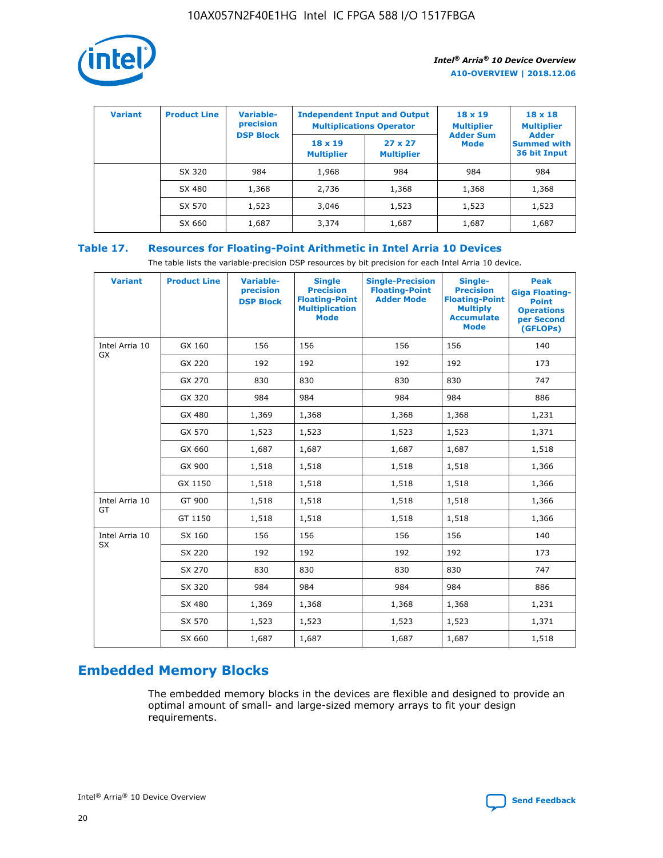

| <b>Variant</b> | <b>Product Line</b> | <b>Variable-</b><br>precision<br><b>DSP Block</b> | <b>Independent Input and Output</b><br><b>Multiplications Operator</b> |                                     | $18 \times 19$<br><b>Multiplier</b><br><b>Adder Sum</b> | $18 \times 18$<br><b>Multiplier</b><br><b>Adder</b> |  |
|----------------|---------------------|---------------------------------------------------|------------------------------------------------------------------------|-------------------------------------|---------------------------------------------------------|-----------------------------------------------------|--|
|                |                     |                                                   | $18 \times 19$<br><b>Multiplier</b>                                    | $27 \times 27$<br><b>Multiplier</b> | <b>Mode</b>                                             | <b>Summed with</b><br>36 bit Input                  |  |
|                | SX 320              | 984                                               | 1,968                                                                  | 984                                 | 984                                                     | 984                                                 |  |
|                | SX 480              | 1,368                                             | 2,736                                                                  | 1,368                               | 1,368                                                   | 1,368                                               |  |
|                | SX 570              | 1,523                                             | 3,046                                                                  | 1,523                               | 1,523                                                   | 1,523                                               |  |
|                | SX 660              | 1,687                                             | 3,374                                                                  | 1,687                               | 1,687                                                   | 1,687                                               |  |

## **Table 17. Resources for Floating-Point Arithmetic in Intel Arria 10 Devices**

The table lists the variable-precision DSP resources by bit precision for each Intel Arria 10 device.

| <b>Variant</b> | <b>Product Line</b> | <b>Variable-</b><br>precision<br><b>DSP Block</b> | <b>Single</b><br><b>Precision</b><br><b>Floating-Point</b><br><b>Multiplication</b><br><b>Mode</b> | <b>Single-Precision</b><br><b>Floating-Point</b><br><b>Adder Mode</b> | Single-<br><b>Precision</b><br><b>Floating-Point</b><br><b>Multiply</b><br><b>Accumulate</b><br><b>Mode</b> | <b>Peak</b><br><b>Giga Floating-</b><br><b>Point</b><br><b>Operations</b><br>per Second<br>(GFLOPs) |
|----------------|---------------------|---------------------------------------------------|----------------------------------------------------------------------------------------------------|-----------------------------------------------------------------------|-------------------------------------------------------------------------------------------------------------|-----------------------------------------------------------------------------------------------------|
| Intel Arria 10 | GX 160              | 156                                               | 156                                                                                                | 156                                                                   | 156                                                                                                         | 140                                                                                                 |
| GX             | GX 220              | 192                                               | 192                                                                                                | 192                                                                   | 192                                                                                                         | 173                                                                                                 |
|                | GX 270              | 830                                               | 830                                                                                                | 830                                                                   | 830                                                                                                         | 747                                                                                                 |
|                | GX 320              | 984                                               | 984                                                                                                | 984                                                                   | 984                                                                                                         | 886                                                                                                 |
|                | GX 480              | 1,369                                             | 1,368                                                                                              | 1,368                                                                 | 1,368                                                                                                       | 1,231                                                                                               |
|                | GX 570              | 1,523                                             | 1,523                                                                                              | 1,523                                                                 | 1,523                                                                                                       | 1,371                                                                                               |
|                | GX 660              | 1,687                                             | 1,687                                                                                              | 1,687                                                                 | 1,687                                                                                                       | 1,518                                                                                               |
|                | GX 900              | 1,518                                             | 1,518                                                                                              | 1,518                                                                 | 1,518                                                                                                       | 1,366                                                                                               |
|                | GX 1150             | 1,518                                             | 1,518                                                                                              | 1,518                                                                 | 1,518                                                                                                       | 1,366                                                                                               |
| Intel Arria 10 | GT 900              | 1,518                                             | 1,518                                                                                              | 1,518                                                                 | 1,518                                                                                                       | 1,366                                                                                               |
| GT             | GT 1150             | 1,518                                             | 1,518                                                                                              | 1,518                                                                 | 1,518                                                                                                       | 1,366                                                                                               |
| Intel Arria 10 | SX 160              | 156                                               | 156                                                                                                | 156                                                                   | 156                                                                                                         | 140                                                                                                 |
| <b>SX</b>      | SX 220              | 192                                               | 192                                                                                                | 192                                                                   | 192                                                                                                         | 173                                                                                                 |
|                | SX 270              | 830                                               | 830                                                                                                | 830                                                                   | 830                                                                                                         | 747                                                                                                 |
|                | SX 320              | 984                                               | 984                                                                                                | 984                                                                   | 984                                                                                                         | 886                                                                                                 |
|                | SX 480              | 1,369                                             | 1,368                                                                                              | 1,368                                                                 | 1,368                                                                                                       | 1,231                                                                                               |
|                | SX 570              | 1,523                                             | 1,523                                                                                              | 1,523                                                                 | 1,523                                                                                                       | 1,371                                                                                               |
|                | SX 660              | 1,687                                             | 1,687                                                                                              | 1,687                                                                 | 1,687                                                                                                       | 1,518                                                                                               |

# **Embedded Memory Blocks**

The embedded memory blocks in the devices are flexible and designed to provide an optimal amount of small- and large-sized memory arrays to fit your design requirements.

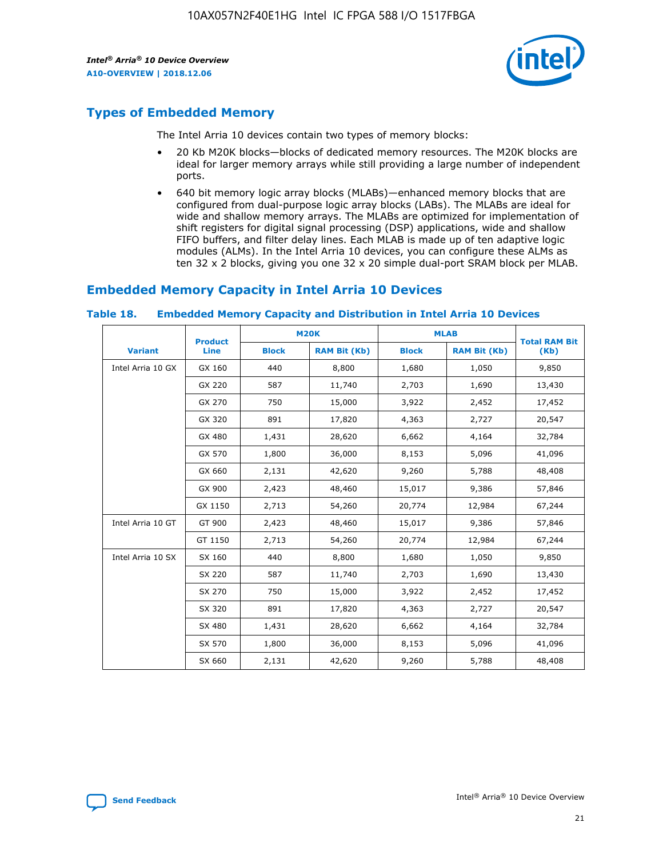

# **Types of Embedded Memory**

The Intel Arria 10 devices contain two types of memory blocks:

- 20 Kb M20K blocks—blocks of dedicated memory resources. The M20K blocks are ideal for larger memory arrays while still providing a large number of independent ports.
- 640 bit memory logic array blocks (MLABs)—enhanced memory blocks that are configured from dual-purpose logic array blocks (LABs). The MLABs are ideal for wide and shallow memory arrays. The MLABs are optimized for implementation of shift registers for digital signal processing (DSP) applications, wide and shallow FIFO buffers, and filter delay lines. Each MLAB is made up of ten adaptive logic modules (ALMs). In the Intel Arria 10 devices, you can configure these ALMs as ten 32 x 2 blocks, giving you one 32 x 20 simple dual-port SRAM block per MLAB.

## **Embedded Memory Capacity in Intel Arria 10 Devices**

|                   | <b>Product</b> |              | <b>M20K</b>         | <b>MLAB</b>  |                     | <b>Total RAM Bit</b> |
|-------------------|----------------|--------------|---------------------|--------------|---------------------|----------------------|
| <b>Variant</b>    | Line           | <b>Block</b> | <b>RAM Bit (Kb)</b> | <b>Block</b> | <b>RAM Bit (Kb)</b> | (Kb)                 |
| Intel Arria 10 GX | GX 160         | 440          | 8,800               | 1,680        | 1,050               | 9,850                |
|                   | GX 220         | 587          | 11,740              | 2,703        | 1,690               | 13,430               |
|                   | GX 270         | 750          | 15,000              | 3,922        | 2,452               | 17,452               |
|                   | GX 320         | 891          | 17,820              | 4,363        | 2,727               | 20,547               |
|                   | GX 480         | 1,431        | 28,620              | 6,662        | 4,164               | 32,784               |
|                   | GX 570         | 1,800        | 36,000              | 8,153        | 5,096               | 41,096               |
|                   | GX 660         | 2,131        | 42,620              | 9,260        | 5,788               | 48,408               |
|                   | GX 900         | 2,423        | 48,460              | 15,017       | 9,386               | 57,846               |
|                   | GX 1150        | 2,713        | 54,260              | 20,774       | 12,984              | 67,244               |
| Intel Arria 10 GT | GT 900         | 2,423        | 48,460              | 15,017       | 9,386               | 57,846               |
|                   | GT 1150        | 2,713        | 54,260              | 20,774       | 12,984              | 67,244               |
| Intel Arria 10 SX | SX 160         | 440          | 8,800               | 1,680        | 1,050               | 9,850                |
|                   | SX 220         | 587          | 11,740              | 2,703        | 1,690               | 13,430               |
|                   | SX 270         | 750          | 15,000              | 3,922        | 2,452               | 17,452               |
|                   | SX 320         | 891          | 17,820              | 4,363        | 2,727               | 20,547               |
|                   | SX 480         | 1,431        | 28,620              | 6,662        | 4,164               | 32,784               |
|                   | SX 570         | 1,800        | 36,000              | 8,153        | 5,096               | 41,096               |
|                   | SX 660         | 2,131        | 42,620              | 9,260        | 5,788               | 48,408               |

#### **Table 18. Embedded Memory Capacity and Distribution in Intel Arria 10 Devices**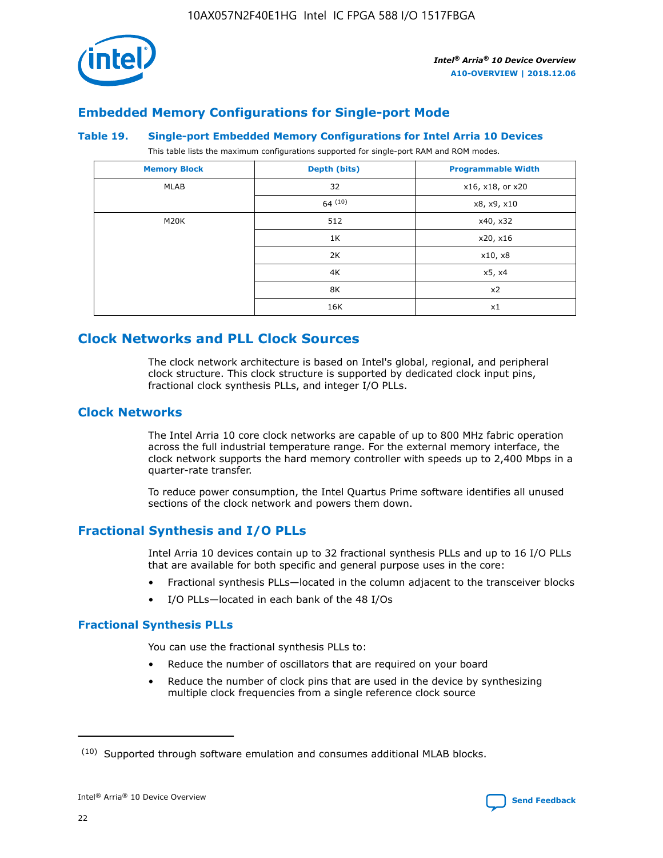

## **Embedded Memory Configurations for Single-port Mode**

### **Table 19. Single-port Embedded Memory Configurations for Intel Arria 10 Devices**

This table lists the maximum configurations supported for single-port RAM and ROM modes.

| <b>Memory Block</b> | Depth (bits)           | <b>Programmable Width</b> |
|---------------------|------------------------|---------------------------|
| MLAB                | 32<br>x16, x18, or x20 |                           |
|                     | 64(10)                 | x8, x9, x10               |
| M20K                | 512                    | x40, x32                  |
|                     | 1K                     | x20, x16                  |
|                     | 2K                     | x10, x8                   |
|                     | 4K                     | x5, x4                    |
|                     | 8K                     | x2                        |
|                     | 16K                    | x1                        |

## **Clock Networks and PLL Clock Sources**

The clock network architecture is based on Intel's global, regional, and peripheral clock structure. This clock structure is supported by dedicated clock input pins, fractional clock synthesis PLLs, and integer I/O PLLs.

## **Clock Networks**

The Intel Arria 10 core clock networks are capable of up to 800 MHz fabric operation across the full industrial temperature range. For the external memory interface, the clock network supports the hard memory controller with speeds up to 2,400 Mbps in a quarter-rate transfer.

To reduce power consumption, the Intel Quartus Prime software identifies all unused sections of the clock network and powers them down.

## **Fractional Synthesis and I/O PLLs**

Intel Arria 10 devices contain up to 32 fractional synthesis PLLs and up to 16 I/O PLLs that are available for both specific and general purpose uses in the core:

- Fractional synthesis PLLs—located in the column adjacent to the transceiver blocks
- I/O PLLs—located in each bank of the 48 I/Os

### **Fractional Synthesis PLLs**

You can use the fractional synthesis PLLs to:

- Reduce the number of oscillators that are required on your board
- Reduce the number of clock pins that are used in the device by synthesizing multiple clock frequencies from a single reference clock source

<sup>(10)</sup> Supported through software emulation and consumes additional MLAB blocks.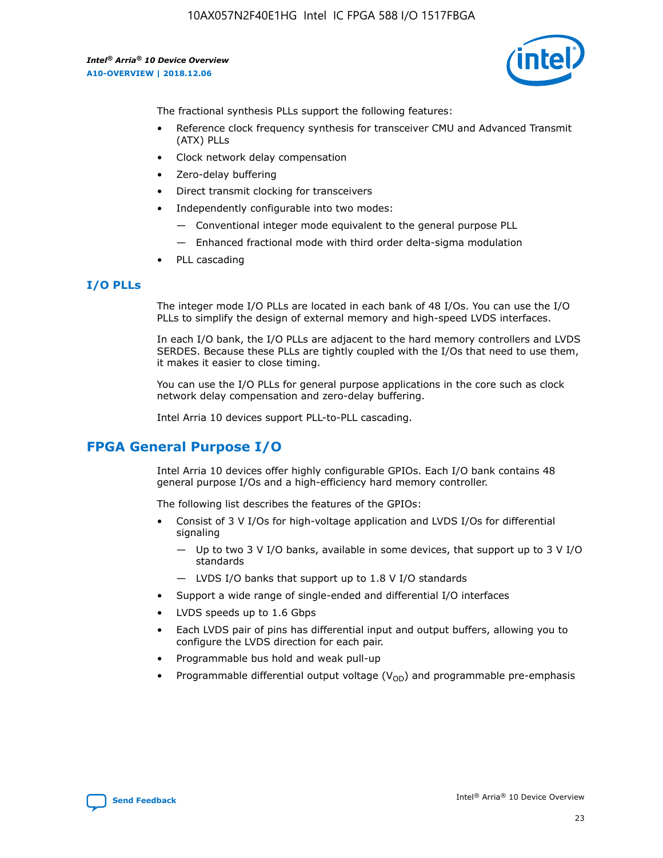

The fractional synthesis PLLs support the following features:

- Reference clock frequency synthesis for transceiver CMU and Advanced Transmit (ATX) PLLs
- Clock network delay compensation
- Zero-delay buffering
- Direct transmit clocking for transceivers
- Independently configurable into two modes:
	- Conventional integer mode equivalent to the general purpose PLL
	- Enhanced fractional mode with third order delta-sigma modulation
- PLL cascading

## **I/O PLLs**

The integer mode I/O PLLs are located in each bank of 48 I/Os. You can use the I/O PLLs to simplify the design of external memory and high-speed LVDS interfaces.

In each I/O bank, the I/O PLLs are adjacent to the hard memory controllers and LVDS SERDES. Because these PLLs are tightly coupled with the I/Os that need to use them, it makes it easier to close timing.

You can use the I/O PLLs for general purpose applications in the core such as clock network delay compensation and zero-delay buffering.

Intel Arria 10 devices support PLL-to-PLL cascading.

# **FPGA General Purpose I/O**

Intel Arria 10 devices offer highly configurable GPIOs. Each I/O bank contains 48 general purpose I/Os and a high-efficiency hard memory controller.

The following list describes the features of the GPIOs:

- Consist of 3 V I/Os for high-voltage application and LVDS I/Os for differential signaling
	- Up to two 3 V I/O banks, available in some devices, that support up to 3 V I/O standards
	- LVDS I/O banks that support up to 1.8 V I/O standards
- Support a wide range of single-ended and differential I/O interfaces
- LVDS speeds up to 1.6 Gbps
- Each LVDS pair of pins has differential input and output buffers, allowing you to configure the LVDS direction for each pair.
- Programmable bus hold and weak pull-up
- Programmable differential output voltage  $(V_{OD})$  and programmable pre-emphasis

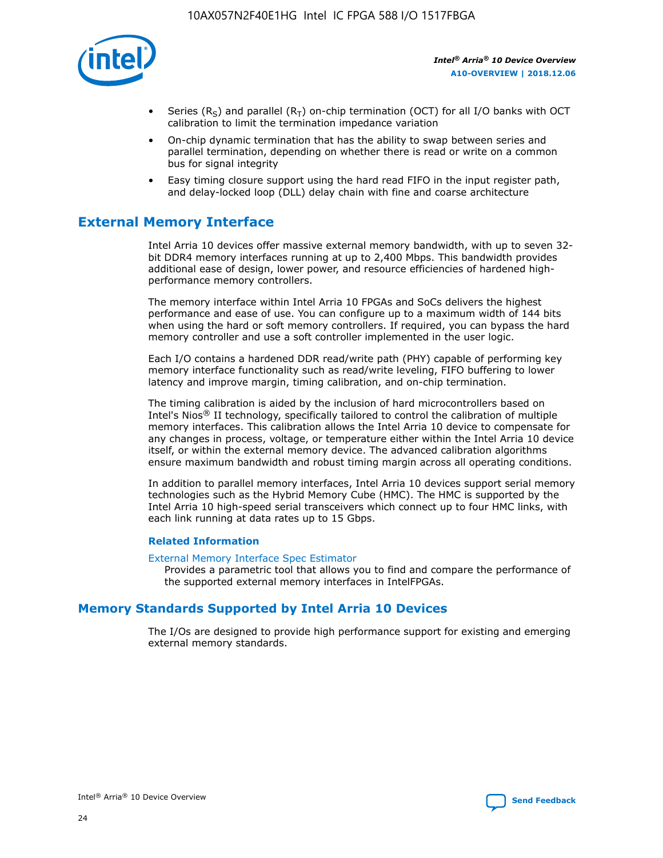

- Series (R<sub>S</sub>) and parallel (R<sub>T</sub>) on-chip termination (OCT) for all I/O banks with OCT calibration to limit the termination impedance variation
- On-chip dynamic termination that has the ability to swap between series and parallel termination, depending on whether there is read or write on a common bus for signal integrity
- Easy timing closure support using the hard read FIFO in the input register path, and delay-locked loop (DLL) delay chain with fine and coarse architecture

# **External Memory Interface**

Intel Arria 10 devices offer massive external memory bandwidth, with up to seven 32 bit DDR4 memory interfaces running at up to 2,400 Mbps. This bandwidth provides additional ease of design, lower power, and resource efficiencies of hardened highperformance memory controllers.

The memory interface within Intel Arria 10 FPGAs and SoCs delivers the highest performance and ease of use. You can configure up to a maximum width of 144 bits when using the hard or soft memory controllers. If required, you can bypass the hard memory controller and use a soft controller implemented in the user logic.

Each I/O contains a hardened DDR read/write path (PHY) capable of performing key memory interface functionality such as read/write leveling, FIFO buffering to lower latency and improve margin, timing calibration, and on-chip termination.

The timing calibration is aided by the inclusion of hard microcontrollers based on Intel's Nios® II technology, specifically tailored to control the calibration of multiple memory interfaces. This calibration allows the Intel Arria 10 device to compensate for any changes in process, voltage, or temperature either within the Intel Arria 10 device itself, or within the external memory device. The advanced calibration algorithms ensure maximum bandwidth and robust timing margin across all operating conditions.

In addition to parallel memory interfaces, Intel Arria 10 devices support serial memory technologies such as the Hybrid Memory Cube (HMC). The HMC is supported by the Intel Arria 10 high-speed serial transceivers which connect up to four HMC links, with each link running at data rates up to 15 Gbps.

### **Related Information**

#### [External Memory Interface Spec Estimator](http://www.altera.com/technology/memory/estimator/mem-emif-index.html)

Provides a parametric tool that allows you to find and compare the performance of the supported external memory interfaces in IntelFPGAs.

## **Memory Standards Supported by Intel Arria 10 Devices**

The I/Os are designed to provide high performance support for existing and emerging external memory standards.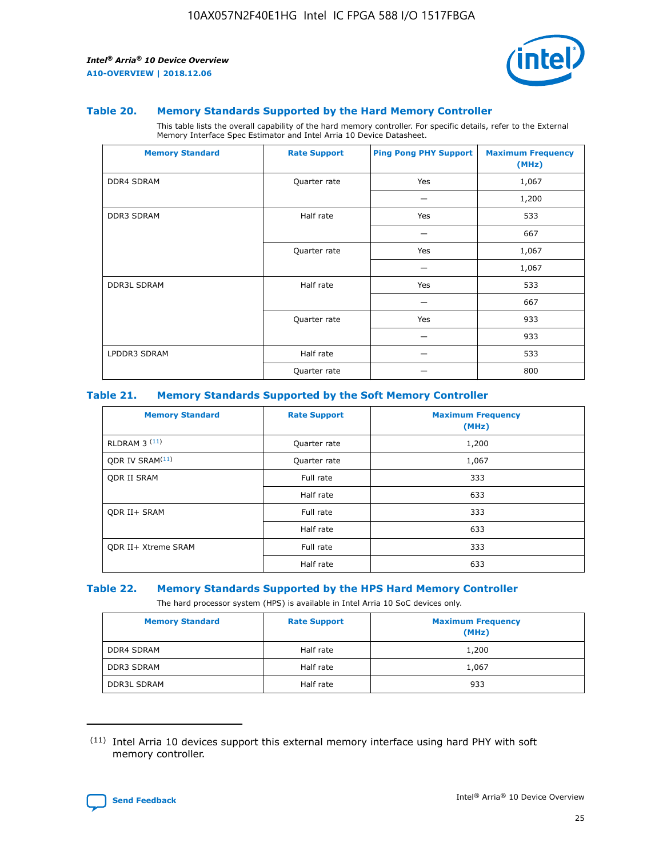

#### **Table 20. Memory Standards Supported by the Hard Memory Controller**

This table lists the overall capability of the hard memory controller. For specific details, refer to the External Memory Interface Spec Estimator and Intel Arria 10 Device Datasheet.

| <b>Memory Standard</b> | <b>Rate Support</b> | <b>Ping Pong PHY Support</b> | <b>Maximum Frequency</b><br>(MHz) |
|------------------------|---------------------|------------------------------|-----------------------------------|
| <b>DDR4 SDRAM</b>      | Quarter rate        | Yes                          | 1,067                             |
|                        |                     |                              | 1,200                             |
| DDR3 SDRAM             | Half rate           | Yes                          | 533                               |
|                        |                     |                              | 667                               |
|                        | Quarter rate        | Yes                          | 1,067                             |
|                        |                     |                              | 1,067                             |
| <b>DDR3L SDRAM</b>     | Half rate           | Yes                          | 533                               |
|                        |                     |                              | 667                               |
|                        | Quarter rate        | Yes                          | 933                               |
|                        |                     |                              | 933                               |
| LPDDR3 SDRAM           | Half rate           |                              | 533                               |
|                        | Quarter rate        |                              | 800                               |

### **Table 21. Memory Standards Supported by the Soft Memory Controller**

| <b>Memory Standard</b>      | <b>Rate Support</b> | <b>Maximum Frequency</b><br>(MHz) |
|-----------------------------|---------------------|-----------------------------------|
| <b>RLDRAM 3 (11)</b>        | Quarter rate        | 1,200                             |
| ODR IV SRAM <sup>(11)</sup> | Quarter rate        | 1,067                             |
| <b>ODR II SRAM</b>          | Full rate           | 333                               |
|                             | Half rate           | 633                               |
| <b>ODR II+ SRAM</b>         | Full rate           | 333                               |
|                             | Half rate           | 633                               |
| <b>ODR II+ Xtreme SRAM</b>  | Full rate           | 333                               |
|                             | Half rate           | 633                               |

#### **Table 22. Memory Standards Supported by the HPS Hard Memory Controller**

The hard processor system (HPS) is available in Intel Arria 10 SoC devices only.

| <b>Memory Standard</b> | <b>Rate Support</b> | <b>Maximum Frequency</b><br>(MHz) |
|------------------------|---------------------|-----------------------------------|
| <b>DDR4 SDRAM</b>      | Half rate           | 1,200                             |
| <b>DDR3 SDRAM</b>      | Half rate           | 1,067                             |
| <b>DDR3L SDRAM</b>     | Half rate           | 933                               |

<sup>(11)</sup> Intel Arria 10 devices support this external memory interface using hard PHY with soft memory controller.

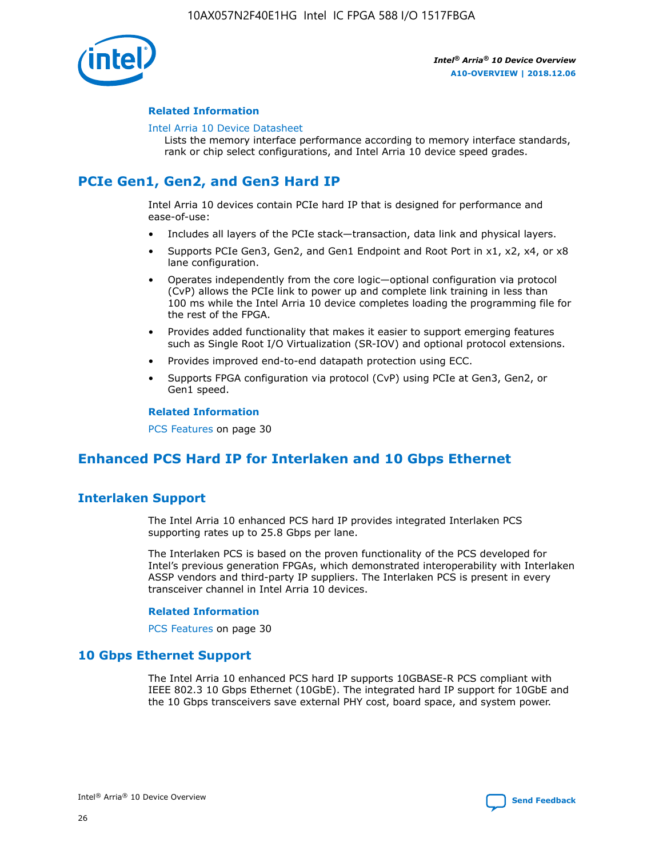

### **Related Information**

#### [Intel Arria 10 Device Datasheet](https://www.intel.com/content/www/us/en/programmable/documentation/mcn1413182292568.html#mcn1413182153340)

Lists the memory interface performance according to memory interface standards, rank or chip select configurations, and Intel Arria 10 device speed grades.

# **PCIe Gen1, Gen2, and Gen3 Hard IP**

Intel Arria 10 devices contain PCIe hard IP that is designed for performance and ease-of-use:

- Includes all layers of the PCIe stack—transaction, data link and physical layers.
- Supports PCIe Gen3, Gen2, and Gen1 Endpoint and Root Port in x1, x2, x4, or x8 lane configuration.
- Operates independently from the core logic—optional configuration via protocol (CvP) allows the PCIe link to power up and complete link training in less than 100 ms while the Intel Arria 10 device completes loading the programming file for the rest of the FPGA.
- Provides added functionality that makes it easier to support emerging features such as Single Root I/O Virtualization (SR-IOV) and optional protocol extensions.
- Provides improved end-to-end datapath protection using ECC.
- Supports FPGA configuration via protocol (CvP) using PCIe at Gen3, Gen2, or Gen1 speed.

#### **Related Information**

PCS Features on page 30

# **Enhanced PCS Hard IP for Interlaken and 10 Gbps Ethernet**

## **Interlaken Support**

The Intel Arria 10 enhanced PCS hard IP provides integrated Interlaken PCS supporting rates up to 25.8 Gbps per lane.

The Interlaken PCS is based on the proven functionality of the PCS developed for Intel's previous generation FPGAs, which demonstrated interoperability with Interlaken ASSP vendors and third-party IP suppliers. The Interlaken PCS is present in every transceiver channel in Intel Arria 10 devices.

### **Related Information**

PCS Features on page 30

## **10 Gbps Ethernet Support**

The Intel Arria 10 enhanced PCS hard IP supports 10GBASE-R PCS compliant with IEEE 802.3 10 Gbps Ethernet (10GbE). The integrated hard IP support for 10GbE and the 10 Gbps transceivers save external PHY cost, board space, and system power.

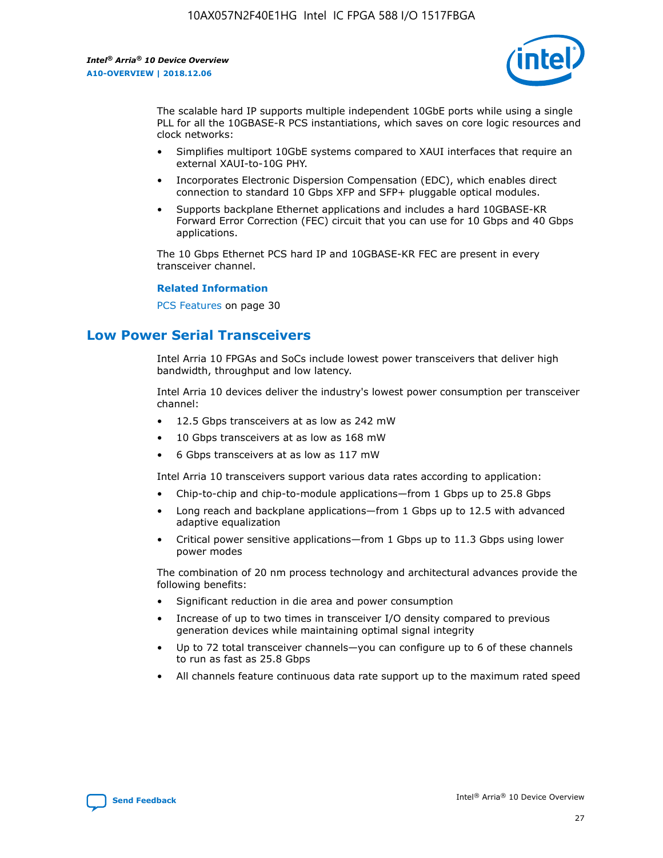

The scalable hard IP supports multiple independent 10GbE ports while using a single PLL for all the 10GBASE-R PCS instantiations, which saves on core logic resources and clock networks:

- Simplifies multiport 10GbE systems compared to XAUI interfaces that require an external XAUI-to-10G PHY.
- Incorporates Electronic Dispersion Compensation (EDC), which enables direct connection to standard 10 Gbps XFP and SFP+ pluggable optical modules.
- Supports backplane Ethernet applications and includes a hard 10GBASE-KR Forward Error Correction (FEC) circuit that you can use for 10 Gbps and 40 Gbps applications.

The 10 Gbps Ethernet PCS hard IP and 10GBASE-KR FEC are present in every transceiver channel.

#### **Related Information**

PCS Features on page 30

# **Low Power Serial Transceivers**

Intel Arria 10 FPGAs and SoCs include lowest power transceivers that deliver high bandwidth, throughput and low latency.

Intel Arria 10 devices deliver the industry's lowest power consumption per transceiver channel:

- 12.5 Gbps transceivers at as low as 242 mW
- 10 Gbps transceivers at as low as 168 mW
- 6 Gbps transceivers at as low as 117 mW

Intel Arria 10 transceivers support various data rates according to application:

- Chip-to-chip and chip-to-module applications—from 1 Gbps up to 25.8 Gbps
- Long reach and backplane applications—from 1 Gbps up to 12.5 with advanced adaptive equalization
- Critical power sensitive applications—from 1 Gbps up to 11.3 Gbps using lower power modes

The combination of 20 nm process technology and architectural advances provide the following benefits:

- Significant reduction in die area and power consumption
- Increase of up to two times in transceiver I/O density compared to previous generation devices while maintaining optimal signal integrity
- Up to 72 total transceiver channels—you can configure up to 6 of these channels to run as fast as 25.8 Gbps
- All channels feature continuous data rate support up to the maximum rated speed

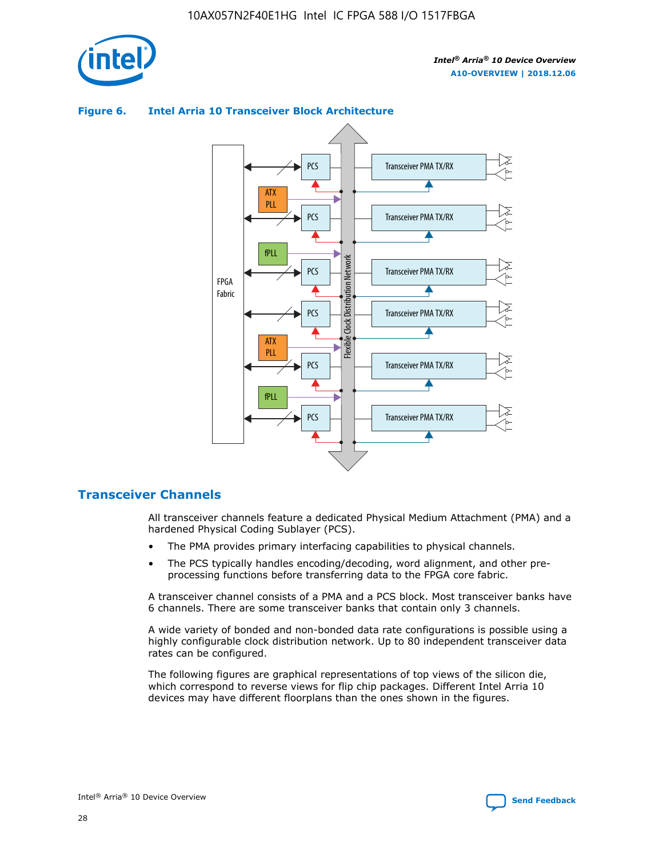

## Transceiver PMA TX/RX PCS ATX PLL Transceiver PMA TX/RX PCS fPLL Network Flexible Clock Distribution Network PCS Transceiver PMA TX/RX FPGA **Clock Distribution** Fabric PCS Transceiver PMA TX/RX ATX Flexible PLL PCS Transceiver PMA TX/RX ▲ fPLL Transceiver PMA TX/RX PCS 4

## **Figure 6. Intel Arria 10 Transceiver Block Architecture**

## **Transceiver Channels**

All transceiver channels feature a dedicated Physical Medium Attachment (PMA) and a hardened Physical Coding Sublayer (PCS).

- The PMA provides primary interfacing capabilities to physical channels.
- The PCS typically handles encoding/decoding, word alignment, and other preprocessing functions before transferring data to the FPGA core fabric.

A transceiver channel consists of a PMA and a PCS block. Most transceiver banks have 6 channels. There are some transceiver banks that contain only 3 channels.

A wide variety of bonded and non-bonded data rate configurations is possible using a highly configurable clock distribution network. Up to 80 independent transceiver data rates can be configured.

The following figures are graphical representations of top views of the silicon die, which correspond to reverse views for flip chip packages. Different Intel Arria 10 devices may have different floorplans than the ones shown in the figures.

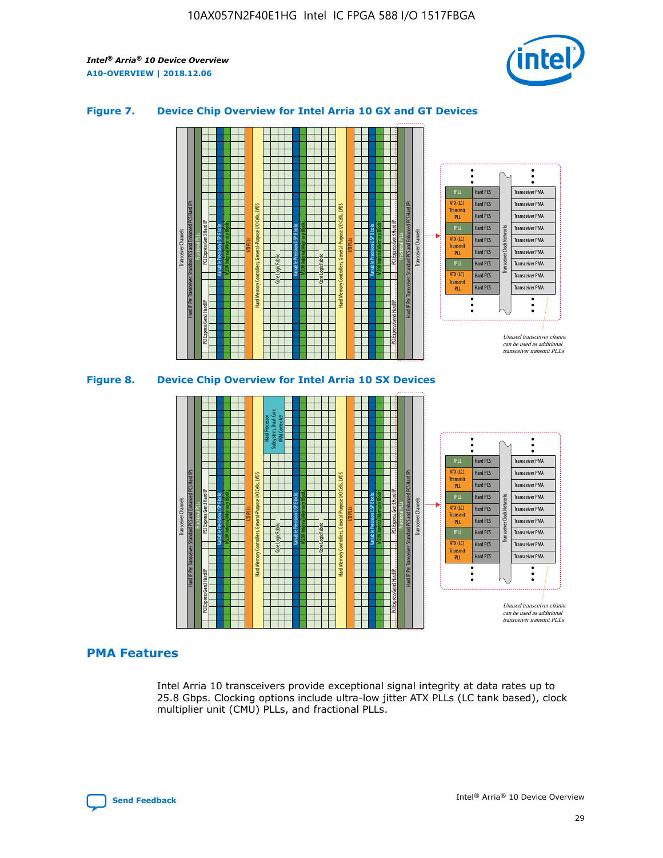

## **Figure 7. Device Chip Overview for Intel Arria 10 GX and GT Devices**





## **PMA Features**

Intel Arria 10 transceivers provide exceptional signal integrity at data rates up to 25.8 Gbps. Clocking options include ultra-low jitter ATX PLLs (LC tank based), clock multiplier unit (CMU) PLLs, and fractional PLLs.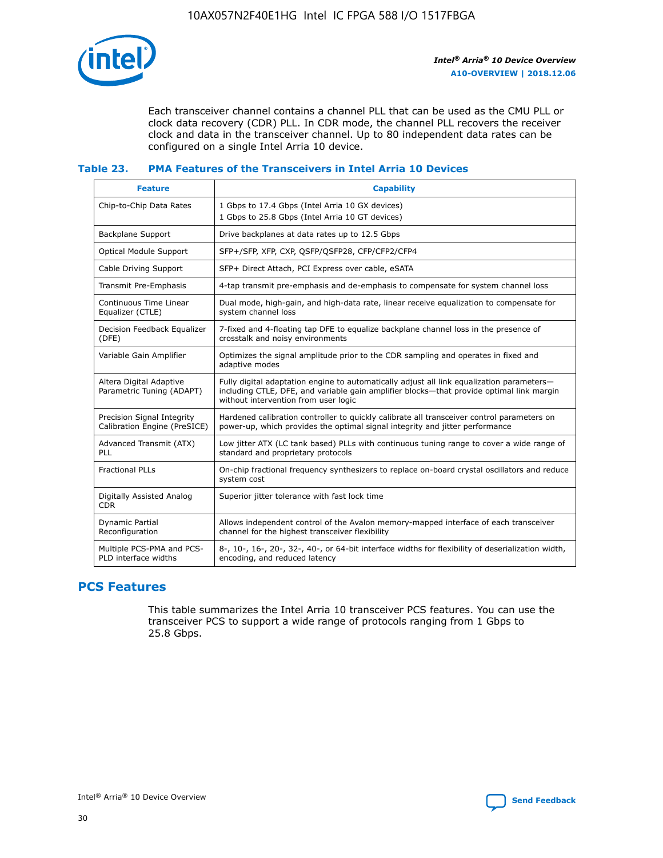

Each transceiver channel contains a channel PLL that can be used as the CMU PLL or clock data recovery (CDR) PLL. In CDR mode, the channel PLL recovers the receiver clock and data in the transceiver channel. Up to 80 independent data rates can be configured on a single Intel Arria 10 device.

## **Table 23. PMA Features of the Transceivers in Intel Arria 10 Devices**

| <b>Feature</b>                                             | <b>Capability</b>                                                                                                                                                                                                             |
|------------------------------------------------------------|-------------------------------------------------------------------------------------------------------------------------------------------------------------------------------------------------------------------------------|
| Chip-to-Chip Data Rates                                    | 1 Gbps to 17.4 Gbps (Intel Arria 10 GX devices)<br>1 Gbps to 25.8 Gbps (Intel Arria 10 GT devices)                                                                                                                            |
| <b>Backplane Support</b>                                   | Drive backplanes at data rates up to 12.5 Gbps                                                                                                                                                                                |
| <b>Optical Module Support</b>                              | SFP+/SFP, XFP, CXP, QSFP/QSFP28, CFP/CFP2/CFP4                                                                                                                                                                                |
| Cable Driving Support                                      | SFP+ Direct Attach, PCI Express over cable, eSATA                                                                                                                                                                             |
| Transmit Pre-Emphasis                                      | 4-tap transmit pre-emphasis and de-emphasis to compensate for system channel loss                                                                                                                                             |
| Continuous Time Linear<br>Equalizer (CTLE)                 | Dual mode, high-gain, and high-data rate, linear receive equalization to compensate for<br>system channel loss                                                                                                                |
| Decision Feedback Equalizer<br>(DFE)                       | 7-fixed and 4-floating tap DFE to equalize backplane channel loss in the presence of<br>crosstalk and noisy environments                                                                                                      |
| Variable Gain Amplifier                                    | Optimizes the signal amplitude prior to the CDR sampling and operates in fixed and<br>adaptive modes                                                                                                                          |
| Altera Digital Adaptive<br>Parametric Tuning (ADAPT)       | Fully digital adaptation engine to automatically adjust all link equalization parameters-<br>including CTLE, DFE, and variable gain amplifier blocks—that provide optimal link margin<br>without intervention from user logic |
| Precision Signal Integrity<br>Calibration Engine (PreSICE) | Hardened calibration controller to quickly calibrate all transceiver control parameters on<br>power-up, which provides the optimal signal integrity and jitter performance                                                    |
| Advanced Transmit (ATX)<br>PLL                             | Low jitter ATX (LC tank based) PLLs with continuous tuning range to cover a wide range of<br>standard and proprietary protocols                                                                                               |
| <b>Fractional PLLs</b>                                     | On-chip fractional frequency synthesizers to replace on-board crystal oscillators and reduce<br>system cost                                                                                                                   |
| Digitally Assisted Analog<br><b>CDR</b>                    | Superior jitter tolerance with fast lock time                                                                                                                                                                                 |
| <b>Dynamic Partial</b><br>Reconfiguration                  | Allows independent control of the Avalon memory-mapped interface of each transceiver<br>channel for the highest transceiver flexibility                                                                                       |
| Multiple PCS-PMA and PCS-<br>PLD interface widths          | 8-, 10-, 16-, 20-, 32-, 40-, or 64-bit interface widths for flexibility of deserialization width,<br>encoding, and reduced latency                                                                                            |

# **PCS Features**

This table summarizes the Intel Arria 10 transceiver PCS features. You can use the transceiver PCS to support a wide range of protocols ranging from 1 Gbps to 25.8 Gbps.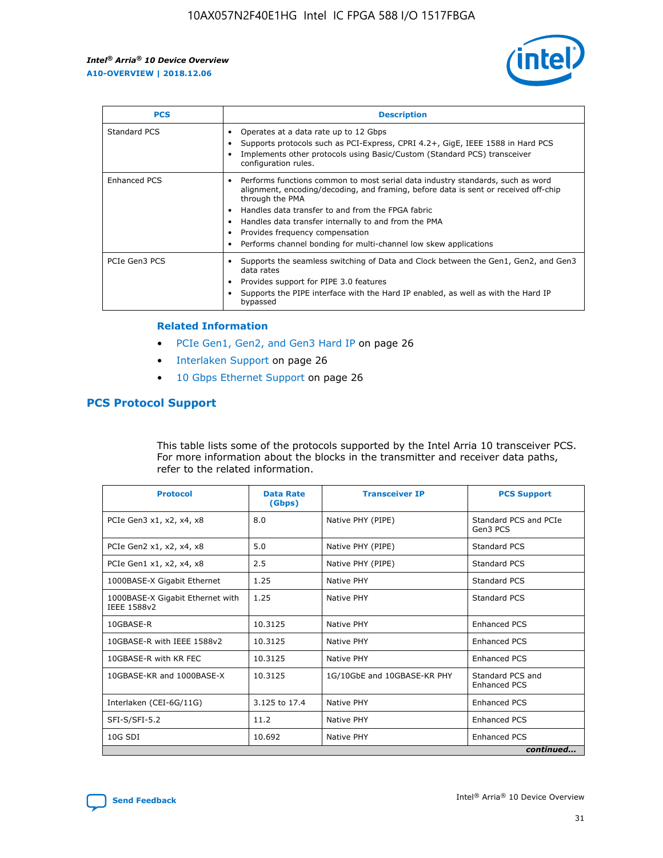

| <b>PCS</b>    | <b>Description</b>                                                                                                                                                                                                                                                                                                                                                                                             |
|---------------|----------------------------------------------------------------------------------------------------------------------------------------------------------------------------------------------------------------------------------------------------------------------------------------------------------------------------------------------------------------------------------------------------------------|
| Standard PCS  | Operates at a data rate up to 12 Gbps<br>Supports protocols such as PCI-Express, CPRI 4.2+, GigE, IEEE 1588 in Hard PCS<br>Implements other protocols using Basic/Custom (Standard PCS) transceiver<br>configuration rules.                                                                                                                                                                                    |
| Enhanced PCS  | Performs functions common to most serial data industry standards, such as word<br>alignment, encoding/decoding, and framing, before data is sent or received off-chip<br>through the PMA<br>• Handles data transfer to and from the FPGA fabric<br>Handles data transfer internally to and from the PMA<br>Provides frequency compensation<br>Performs channel bonding for multi-channel low skew applications |
| PCIe Gen3 PCS | Supports the seamless switching of Data and Clock between the Gen1, Gen2, and Gen3<br>data rates<br>Provides support for PIPE 3.0 features<br>Supports the PIPE interface with the Hard IP enabled, as well as with the Hard IP<br>bypassed                                                                                                                                                                    |

#### **Related Information**

- PCIe Gen1, Gen2, and Gen3 Hard IP on page 26
- Interlaken Support on page 26
- 10 Gbps Ethernet Support on page 26

## **PCS Protocol Support**

This table lists some of the protocols supported by the Intel Arria 10 transceiver PCS. For more information about the blocks in the transmitter and receiver data paths, refer to the related information.

| <b>Protocol</b>                                 | <b>Data Rate</b><br>(Gbps) | <b>Transceiver IP</b>       | <b>PCS Support</b>                      |
|-------------------------------------------------|----------------------------|-----------------------------|-----------------------------------------|
| PCIe Gen3 x1, x2, x4, x8                        | 8.0                        | Native PHY (PIPE)           | Standard PCS and PCIe<br>Gen3 PCS       |
| PCIe Gen2 x1, x2, x4, x8                        | 5.0                        | Native PHY (PIPE)           | <b>Standard PCS</b>                     |
| PCIe Gen1 x1, x2, x4, x8                        | 2.5                        | Native PHY (PIPE)           | Standard PCS                            |
| 1000BASE-X Gigabit Ethernet                     | 1.25                       | Native PHY                  | <b>Standard PCS</b>                     |
| 1000BASE-X Gigabit Ethernet with<br>IEEE 1588v2 | 1.25                       | Native PHY                  | Standard PCS                            |
| 10GBASE-R                                       | 10.3125                    | Native PHY                  | <b>Enhanced PCS</b>                     |
| 10GBASE-R with IEEE 1588v2                      | 10.3125                    | Native PHY                  | <b>Enhanced PCS</b>                     |
| 10GBASE-R with KR FEC                           | 10.3125                    | Native PHY                  | <b>Enhanced PCS</b>                     |
| 10GBASE-KR and 1000BASE-X                       | 10.3125                    | 1G/10GbE and 10GBASE-KR PHY | Standard PCS and<br><b>Enhanced PCS</b> |
| Interlaken (CEI-6G/11G)                         | 3.125 to 17.4              | Native PHY                  | <b>Enhanced PCS</b>                     |
| SFI-S/SFI-5.2                                   | 11.2                       | Native PHY                  | <b>Enhanced PCS</b>                     |
| $10G$ SDI                                       | 10.692                     | Native PHY                  | <b>Enhanced PCS</b>                     |
|                                                 |                            |                             | continued                               |

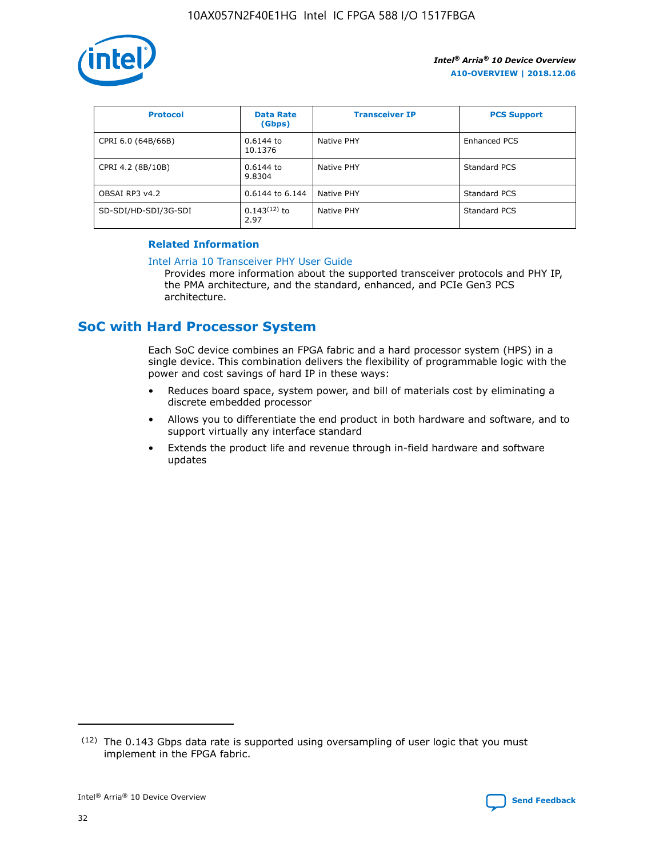

| <b>Protocol</b>      | <b>Data Rate</b><br>(Gbps) | <b>Transceiver IP</b> | <b>PCS Support</b> |
|----------------------|----------------------------|-----------------------|--------------------|
| CPRI 6.0 (64B/66B)   | 0.6144 to<br>10.1376       | Native PHY            | Enhanced PCS       |
| CPRI 4.2 (8B/10B)    | $0.6144$ to<br>9.8304      | Native PHY            | Standard PCS       |
| OBSAI RP3 v4.2       | 0.6144 to 6.144            | Native PHY            | Standard PCS       |
| SD-SDI/HD-SDI/3G-SDI | $0.143(12)$ to<br>2.97     | Native PHY            | Standard PCS       |

## **Related Information**

#### [Intel Arria 10 Transceiver PHY User Guide](https://www.intel.com/content/www/us/en/programmable/documentation/nik1398707230472.html#nik1398707091164)

Provides more information about the supported transceiver protocols and PHY IP, the PMA architecture, and the standard, enhanced, and PCIe Gen3 PCS architecture.

# **SoC with Hard Processor System**

Each SoC device combines an FPGA fabric and a hard processor system (HPS) in a single device. This combination delivers the flexibility of programmable logic with the power and cost savings of hard IP in these ways:

- Reduces board space, system power, and bill of materials cost by eliminating a discrete embedded processor
- Allows you to differentiate the end product in both hardware and software, and to support virtually any interface standard
- Extends the product life and revenue through in-field hardware and software updates

 $(12)$  The 0.143 Gbps data rate is supported using oversampling of user logic that you must implement in the FPGA fabric.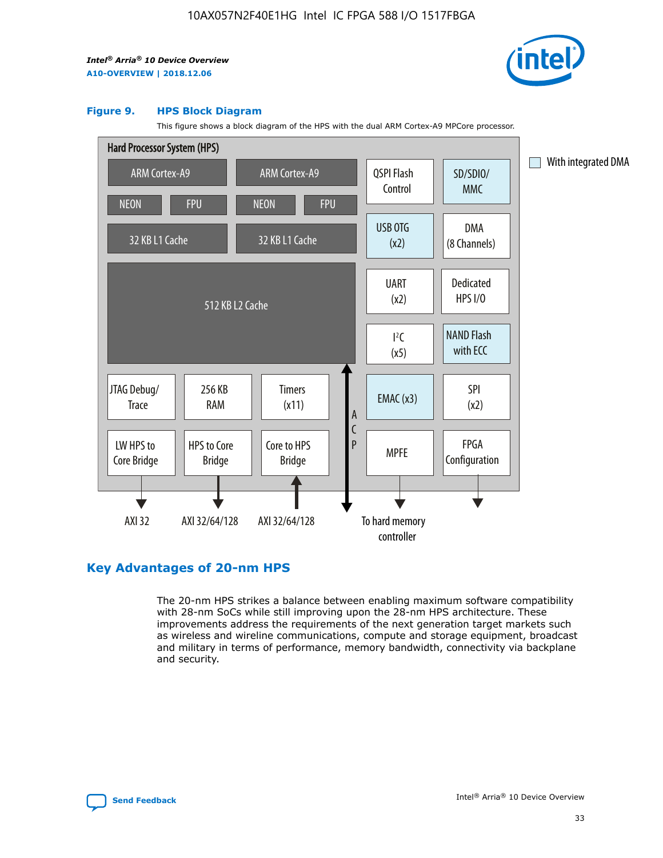

#### **Figure 9. HPS Block Diagram**

This figure shows a block diagram of the HPS with the dual ARM Cortex-A9 MPCore processor.



## **Key Advantages of 20-nm HPS**

The 20-nm HPS strikes a balance between enabling maximum software compatibility with 28-nm SoCs while still improving upon the 28-nm HPS architecture. These improvements address the requirements of the next generation target markets such as wireless and wireline communications, compute and storage equipment, broadcast and military in terms of performance, memory bandwidth, connectivity via backplane and security.

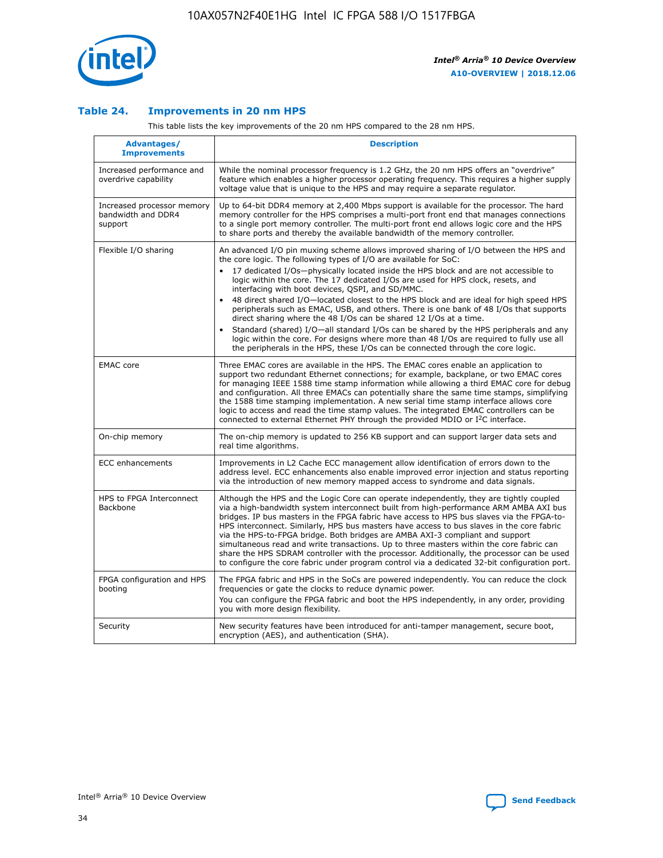

## **Table 24. Improvements in 20 nm HPS**

This table lists the key improvements of the 20 nm HPS compared to the 28 nm HPS.

| Advantages/<br><b>Improvements</b>                          | <b>Description</b>                                                                                                                                                                                                                                                                                                                                                                                                                                                                                                                                                                                                                                                                                                                                                                                                                                                                                                      |
|-------------------------------------------------------------|-------------------------------------------------------------------------------------------------------------------------------------------------------------------------------------------------------------------------------------------------------------------------------------------------------------------------------------------------------------------------------------------------------------------------------------------------------------------------------------------------------------------------------------------------------------------------------------------------------------------------------------------------------------------------------------------------------------------------------------------------------------------------------------------------------------------------------------------------------------------------------------------------------------------------|
| Increased performance and<br>overdrive capability           | While the nominal processor frequency is 1.2 GHz, the 20 nm HPS offers an "overdrive"<br>feature which enables a higher processor operating frequency. This requires a higher supply<br>voltage value that is unique to the HPS and may require a separate regulator.                                                                                                                                                                                                                                                                                                                                                                                                                                                                                                                                                                                                                                                   |
| Increased processor memory<br>bandwidth and DDR4<br>support | Up to 64-bit DDR4 memory at 2,400 Mbps support is available for the processor. The hard<br>memory controller for the HPS comprises a multi-port front end that manages connections<br>to a single port memory controller. The multi-port front end allows logic core and the HPS<br>to share ports and thereby the available bandwidth of the memory controller.                                                                                                                                                                                                                                                                                                                                                                                                                                                                                                                                                        |
| Flexible I/O sharing                                        | An advanced I/O pin muxing scheme allows improved sharing of I/O between the HPS and<br>the core logic. The following types of I/O are available for SoC:<br>17 dedicated I/Os-physically located inside the HPS block and are not accessible to<br>logic within the core. The 17 dedicated I/Os are used for HPS clock, resets, and<br>interfacing with boot devices, QSPI, and SD/MMC.<br>48 direct shared I/O-located closest to the HPS block and are ideal for high speed HPS<br>peripherals such as EMAC, USB, and others. There is one bank of 48 I/Os that supports<br>direct sharing where the 48 I/Os can be shared 12 I/Os at a time.<br>Standard (shared) I/O-all standard I/Os can be shared by the HPS peripherals and any<br>logic within the core. For designs where more than 48 I/Os are reguired to fully use all<br>the peripherals in the HPS, these I/Os can be connected through the core logic. |
| <b>EMAC</b> core                                            | Three EMAC cores are available in the HPS. The EMAC cores enable an application to<br>support two redundant Ethernet connections; for example, backplane, or two EMAC cores<br>for managing IEEE 1588 time stamp information while allowing a third EMAC core for debug<br>and configuration. All three EMACs can potentially share the same time stamps, simplifying<br>the 1588 time stamping implementation. A new serial time stamp interface allows core<br>logic to access and read the time stamp values. The integrated EMAC controllers can be<br>connected to external Ethernet PHY through the provided MDIO or I <sup>2</sup> C interface.                                                                                                                                                                                                                                                                  |
| On-chip memory                                              | The on-chip memory is updated to 256 KB support and can support larger data sets and<br>real time algorithms.                                                                                                                                                                                                                                                                                                                                                                                                                                                                                                                                                                                                                                                                                                                                                                                                           |
| <b>ECC</b> enhancements                                     | Improvements in L2 Cache ECC management allow identification of errors down to the<br>address level. ECC enhancements also enable improved error injection and status reporting<br>via the introduction of new memory mapped access to syndrome and data signals.                                                                                                                                                                                                                                                                                                                                                                                                                                                                                                                                                                                                                                                       |
| HPS to FPGA Interconnect<br>Backbone                        | Although the HPS and the Logic Core can operate independently, they are tightly coupled<br>via a high-bandwidth system interconnect built from high-performance ARM AMBA AXI bus<br>bridges. IP bus masters in the FPGA fabric have access to HPS bus slaves via the FPGA-to-<br>HPS interconnect. Similarly, HPS bus masters have access to bus slaves in the core fabric<br>via the HPS-to-FPGA bridge. Both bridges are AMBA AXI-3 compliant and support<br>simultaneous read and write transactions. Up to three masters within the core fabric can<br>share the HPS SDRAM controller with the processor. Additionally, the processor can be used<br>to configure the core fabric under program control via a dedicated 32-bit configuration port.                                                                                                                                                                  |
| FPGA configuration and HPS<br>booting                       | The FPGA fabric and HPS in the SoCs are powered independently. You can reduce the clock<br>frequencies or gate the clocks to reduce dynamic power.<br>You can configure the FPGA fabric and boot the HPS independently, in any order, providing<br>you with more design flexibility.                                                                                                                                                                                                                                                                                                                                                                                                                                                                                                                                                                                                                                    |
| Security                                                    | New security features have been introduced for anti-tamper management, secure boot,<br>encryption (AES), and authentication (SHA).                                                                                                                                                                                                                                                                                                                                                                                                                                                                                                                                                                                                                                                                                                                                                                                      |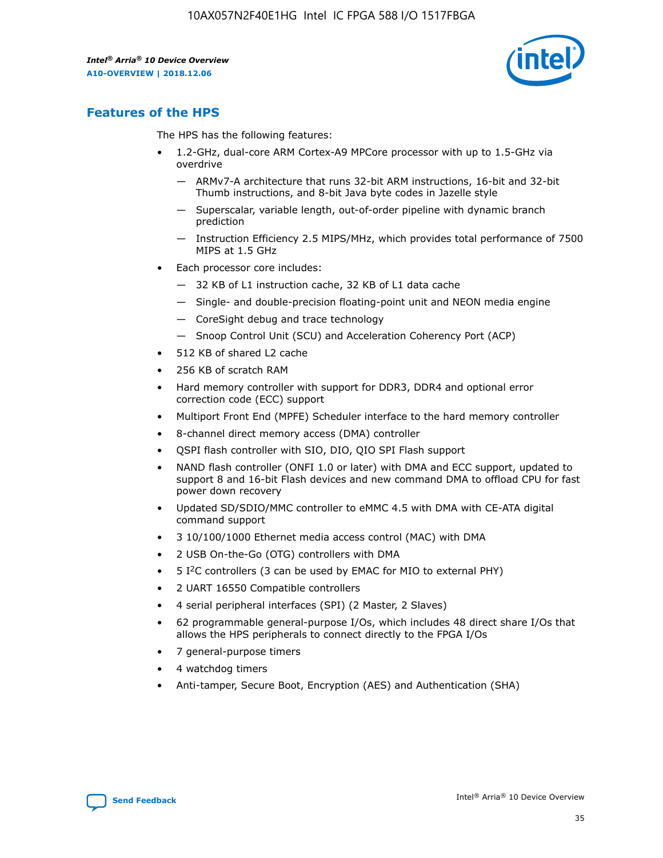

## **Features of the HPS**

The HPS has the following features:

- 1.2-GHz, dual-core ARM Cortex-A9 MPCore processor with up to 1.5-GHz via overdrive
	- ARMv7-A architecture that runs 32-bit ARM instructions, 16-bit and 32-bit Thumb instructions, and 8-bit Java byte codes in Jazelle style
	- Superscalar, variable length, out-of-order pipeline with dynamic branch prediction
	- Instruction Efficiency 2.5 MIPS/MHz, which provides total performance of 7500 MIPS at 1.5 GHz
- Each processor core includes:
	- 32 KB of L1 instruction cache, 32 KB of L1 data cache
	- Single- and double-precision floating-point unit and NEON media engine
	- CoreSight debug and trace technology
	- Snoop Control Unit (SCU) and Acceleration Coherency Port (ACP)
- 512 KB of shared L2 cache
- 256 KB of scratch RAM
- Hard memory controller with support for DDR3, DDR4 and optional error correction code (ECC) support
- Multiport Front End (MPFE) Scheduler interface to the hard memory controller
- 8-channel direct memory access (DMA) controller
- QSPI flash controller with SIO, DIO, QIO SPI Flash support
- NAND flash controller (ONFI 1.0 or later) with DMA and ECC support, updated to support 8 and 16-bit Flash devices and new command DMA to offload CPU for fast power down recovery
- Updated SD/SDIO/MMC controller to eMMC 4.5 with DMA with CE-ATA digital command support
- 3 10/100/1000 Ethernet media access control (MAC) with DMA
- 2 USB On-the-Go (OTG) controllers with DMA
- $\bullet$  5 I<sup>2</sup>C controllers (3 can be used by EMAC for MIO to external PHY)
- 2 UART 16550 Compatible controllers
- 4 serial peripheral interfaces (SPI) (2 Master, 2 Slaves)
- 62 programmable general-purpose I/Os, which includes 48 direct share I/Os that allows the HPS peripherals to connect directly to the FPGA I/Os
- 7 general-purpose timers
- 4 watchdog timers
- Anti-tamper, Secure Boot, Encryption (AES) and Authentication (SHA)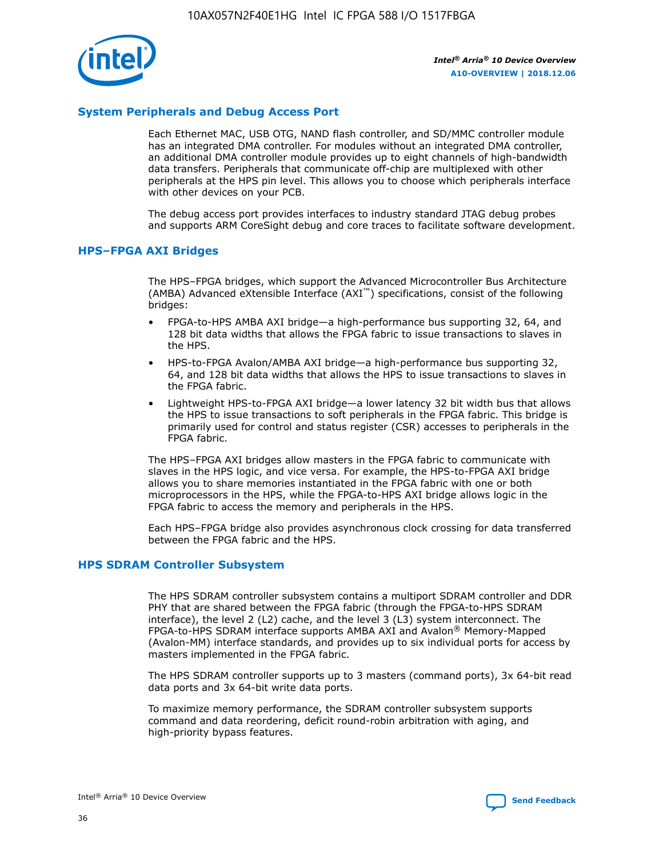

## **System Peripherals and Debug Access Port**

Each Ethernet MAC, USB OTG, NAND flash controller, and SD/MMC controller module has an integrated DMA controller. For modules without an integrated DMA controller, an additional DMA controller module provides up to eight channels of high-bandwidth data transfers. Peripherals that communicate off-chip are multiplexed with other peripherals at the HPS pin level. This allows you to choose which peripherals interface with other devices on your PCB.

The debug access port provides interfaces to industry standard JTAG debug probes and supports ARM CoreSight debug and core traces to facilitate software development.

#### **HPS–FPGA AXI Bridges**

The HPS–FPGA bridges, which support the Advanced Microcontroller Bus Architecture (AMBA) Advanced eXtensible Interface (AXI™) specifications, consist of the following bridges:

- FPGA-to-HPS AMBA AXI bridge—a high-performance bus supporting 32, 64, and 128 bit data widths that allows the FPGA fabric to issue transactions to slaves in the HPS.
- HPS-to-FPGA Avalon/AMBA AXI bridge—a high-performance bus supporting 32, 64, and 128 bit data widths that allows the HPS to issue transactions to slaves in the FPGA fabric.
- Lightweight HPS-to-FPGA AXI bridge—a lower latency 32 bit width bus that allows the HPS to issue transactions to soft peripherals in the FPGA fabric. This bridge is primarily used for control and status register (CSR) accesses to peripherals in the FPGA fabric.

The HPS–FPGA AXI bridges allow masters in the FPGA fabric to communicate with slaves in the HPS logic, and vice versa. For example, the HPS-to-FPGA AXI bridge allows you to share memories instantiated in the FPGA fabric with one or both microprocessors in the HPS, while the FPGA-to-HPS AXI bridge allows logic in the FPGA fabric to access the memory and peripherals in the HPS.

Each HPS–FPGA bridge also provides asynchronous clock crossing for data transferred between the FPGA fabric and the HPS.

#### **HPS SDRAM Controller Subsystem**

The HPS SDRAM controller subsystem contains a multiport SDRAM controller and DDR PHY that are shared between the FPGA fabric (through the FPGA-to-HPS SDRAM interface), the level 2 (L2) cache, and the level 3 (L3) system interconnect. The FPGA-to-HPS SDRAM interface supports AMBA AXI and Avalon® Memory-Mapped (Avalon-MM) interface standards, and provides up to six individual ports for access by masters implemented in the FPGA fabric.

The HPS SDRAM controller supports up to 3 masters (command ports), 3x 64-bit read data ports and 3x 64-bit write data ports.

To maximize memory performance, the SDRAM controller subsystem supports command and data reordering, deficit round-robin arbitration with aging, and high-priority bypass features.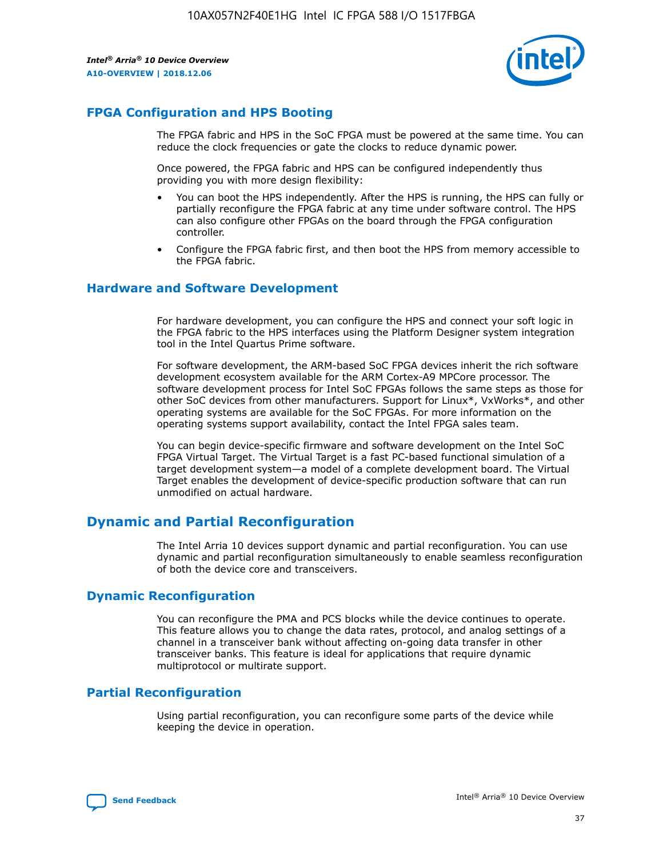

## **FPGA Configuration and HPS Booting**

The FPGA fabric and HPS in the SoC FPGA must be powered at the same time. You can reduce the clock frequencies or gate the clocks to reduce dynamic power.

Once powered, the FPGA fabric and HPS can be configured independently thus providing you with more design flexibility:

- You can boot the HPS independently. After the HPS is running, the HPS can fully or partially reconfigure the FPGA fabric at any time under software control. The HPS can also configure other FPGAs on the board through the FPGA configuration controller.
- Configure the FPGA fabric first, and then boot the HPS from memory accessible to the FPGA fabric.

## **Hardware and Software Development**

For hardware development, you can configure the HPS and connect your soft logic in the FPGA fabric to the HPS interfaces using the Platform Designer system integration tool in the Intel Quartus Prime software.

For software development, the ARM-based SoC FPGA devices inherit the rich software development ecosystem available for the ARM Cortex-A9 MPCore processor. The software development process for Intel SoC FPGAs follows the same steps as those for other SoC devices from other manufacturers. Support for Linux\*, VxWorks\*, and other operating systems are available for the SoC FPGAs. For more information on the operating systems support availability, contact the Intel FPGA sales team.

You can begin device-specific firmware and software development on the Intel SoC FPGA Virtual Target. The Virtual Target is a fast PC-based functional simulation of a target development system—a model of a complete development board. The Virtual Target enables the development of device-specific production software that can run unmodified on actual hardware.

## **Dynamic and Partial Reconfiguration**

The Intel Arria 10 devices support dynamic and partial reconfiguration. You can use dynamic and partial reconfiguration simultaneously to enable seamless reconfiguration of both the device core and transceivers.

## **Dynamic Reconfiguration**

You can reconfigure the PMA and PCS blocks while the device continues to operate. This feature allows you to change the data rates, protocol, and analog settings of a channel in a transceiver bank without affecting on-going data transfer in other transceiver banks. This feature is ideal for applications that require dynamic multiprotocol or multirate support.

## **Partial Reconfiguration**

Using partial reconfiguration, you can reconfigure some parts of the device while keeping the device in operation.

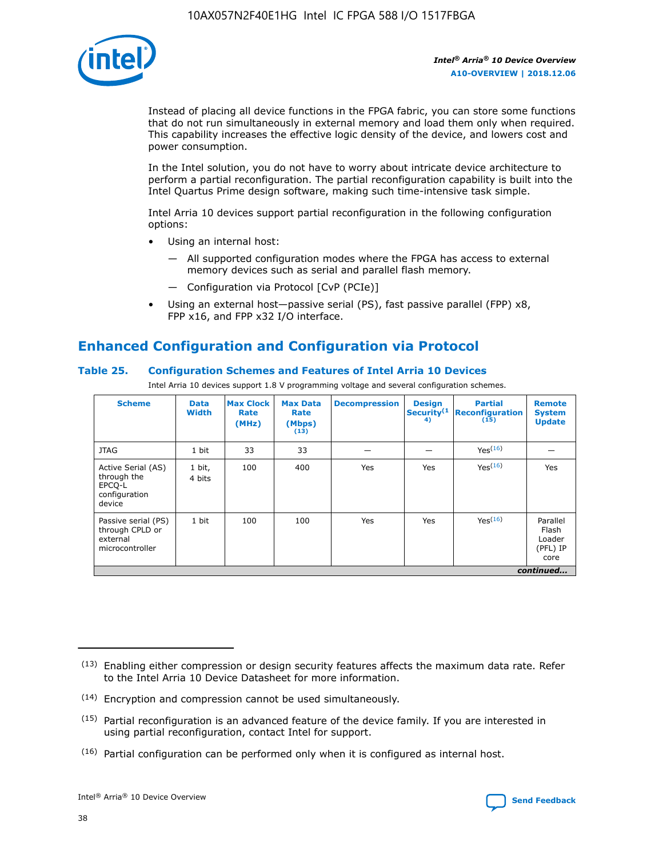

Instead of placing all device functions in the FPGA fabric, you can store some functions that do not run simultaneously in external memory and load them only when required. This capability increases the effective logic density of the device, and lowers cost and power consumption.

In the Intel solution, you do not have to worry about intricate device architecture to perform a partial reconfiguration. The partial reconfiguration capability is built into the Intel Quartus Prime design software, making such time-intensive task simple.

Intel Arria 10 devices support partial reconfiguration in the following configuration options:

- Using an internal host:
	- All supported configuration modes where the FPGA has access to external memory devices such as serial and parallel flash memory.
	- Configuration via Protocol [CvP (PCIe)]
- Using an external host—passive serial (PS), fast passive parallel (FPP) x8, FPP x16, and FPP x32 I/O interface.

# **Enhanced Configuration and Configuration via Protocol**

## **Table 25. Configuration Schemes and Features of Intel Arria 10 Devices**

Intel Arria 10 devices support 1.8 V programming voltage and several configuration schemes.

| <b>Scheme</b>                                                          | <b>Data</b><br><b>Width</b> | <b>Max Clock</b><br>Rate<br>(MHz) | <b>Max Data</b><br>Rate<br>(Mbps)<br>(13) | <b>Decompression</b> | <b>Design</b><br>Security <sup>(1</sup><br>4) | <b>Partial</b><br>Reconfiguration<br>(15) | <b>Remote</b><br><b>System</b><br><b>Update</b> |
|------------------------------------------------------------------------|-----------------------------|-----------------------------------|-------------------------------------------|----------------------|-----------------------------------------------|-------------------------------------------|-------------------------------------------------|
| <b>JTAG</b>                                                            | 1 bit                       | 33                                | 33                                        |                      |                                               | Yes <sup>(16)</sup>                       |                                                 |
| Active Serial (AS)<br>through the<br>EPCO-L<br>configuration<br>device | 1 bit,<br>4 bits            | 100                               | 400                                       | Yes                  | Yes                                           | $Y_{PS}(16)$                              | Yes                                             |
| Passive serial (PS)<br>through CPLD or<br>external<br>microcontroller  | 1 bit                       | 100                               | 100                                       | Yes                  | Yes                                           | Yes(16)                                   | Parallel<br>Flash<br>Loader<br>(PFL) IP<br>core |
|                                                                        |                             |                                   |                                           |                      |                                               |                                           | continued                                       |

<sup>(13)</sup> Enabling either compression or design security features affects the maximum data rate. Refer to the Intel Arria 10 Device Datasheet for more information.

<sup>(14)</sup> Encryption and compression cannot be used simultaneously.

 $(15)$  Partial reconfiguration is an advanced feature of the device family. If you are interested in using partial reconfiguration, contact Intel for support.

 $(16)$  Partial configuration can be performed only when it is configured as internal host.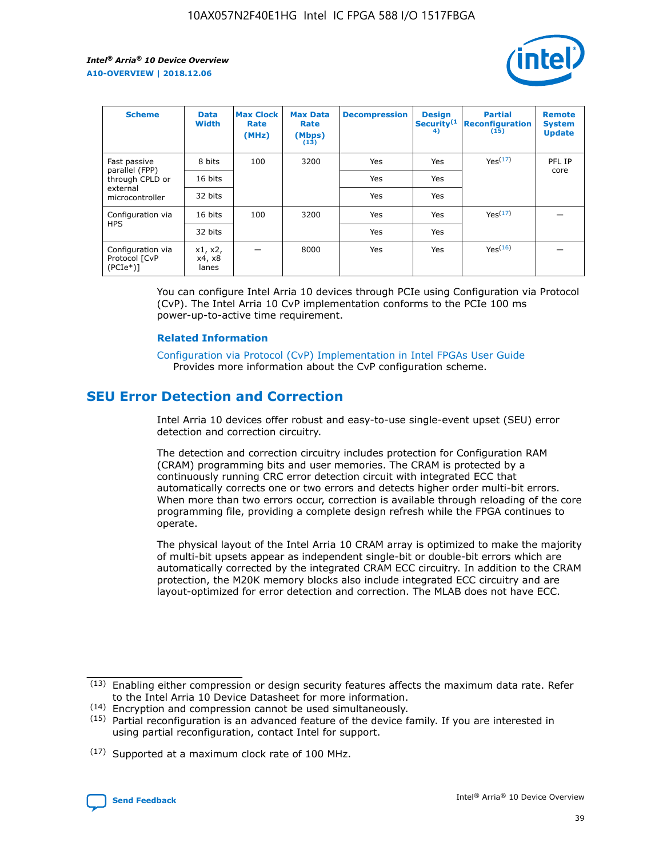

| <b>Scheme</b>                                   | <b>Data</b><br><b>Width</b> | <b>Max Clock</b><br>Rate<br>(MHz) | <b>Max Data</b><br>Rate<br>(Mbps)<br>(13) | <b>Decompression</b> | <b>Design</b><br>Security <sup>(1</sup><br>4) | <b>Partial</b><br><b>Reconfiguration</b><br>(15) | <b>Remote</b><br><b>System</b><br><b>Update</b> |
|-------------------------------------------------|-----------------------------|-----------------------------------|-------------------------------------------|----------------------|-----------------------------------------------|--------------------------------------------------|-------------------------------------------------|
| Fast passive                                    | 8 bits                      | 100                               | 3200                                      | Yes                  | Yes                                           | Yes(17)                                          | PFL IP                                          |
| parallel (FPP)<br>through CPLD or               | 16 bits                     |                                   |                                           | Yes                  | Yes                                           |                                                  | core                                            |
| external<br>microcontroller                     | 32 bits                     |                                   |                                           | Yes                  | Yes                                           |                                                  |                                                 |
| Configuration via                               | 16 bits                     | 100                               | 3200                                      | Yes                  | Yes                                           | Yes <sup>(17)</sup>                              |                                                 |
| <b>HPS</b>                                      | 32 bits                     |                                   |                                           | Yes                  | Yes                                           |                                                  |                                                 |
| Configuration via<br>Protocol [CvP<br>$(PCIe*)$ | x1, x2,<br>x4, x8<br>lanes  |                                   | 8000                                      | Yes                  | Yes                                           | Yes <sup>(16)</sup>                              |                                                 |

You can configure Intel Arria 10 devices through PCIe using Configuration via Protocol (CvP). The Intel Arria 10 CvP implementation conforms to the PCIe 100 ms power-up-to-active time requirement.

#### **Related Information**

[Configuration via Protocol \(CvP\) Implementation in Intel FPGAs User Guide](https://www.intel.com/content/www/us/en/programmable/documentation/dsu1441819344145.html#dsu1442269728522) Provides more information about the CvP configuration scheme.

# **SEU Error Detection and Correction**

Intel Arria 10 devices offer robust and easy-to-use single-event upset (SEU) error detection and correction circuitry.

The detection and correction circuitry includes protection for Configuration RAM (CRAM) programming bits and user memories. The CRAM is protected by a continuously running CRC error detection circuit with integrated ECC that automatically corrects one or two errors and detects higher order multi-bit errors. When more than two errors occur, correction is available through reloading of the core programming file, providing a complete design refresh while the FPGA continues to operate.

The physical layout of the Intel Arria 10 CRAM array is optimized to make the majority of multi-bit upsets appear as independent single-bit or double-bit errors which are automatically corrected by the integrated CRAM ECC circuitry. In addition to the CRAM protection, the M20K memory blocks also include integrated ECC circuitry and are layout-optimized for error detection and correction. The MLAB does not have ECC.

(14) Encryption and compression cannot be used simultaneously.

<sup>(17)</sup> Supported at a maximum clock rate of 100 MHz.



 $(13)$  Enabling either compression or design security features affects the maximum data rate. Refer to the Intel Arria 10 Device Datasheet for more information.

 $(15)$  Partial reconfiguration is an advanced feature of the device family. If you are interested in using partial reconfiguration, contact Intel for support.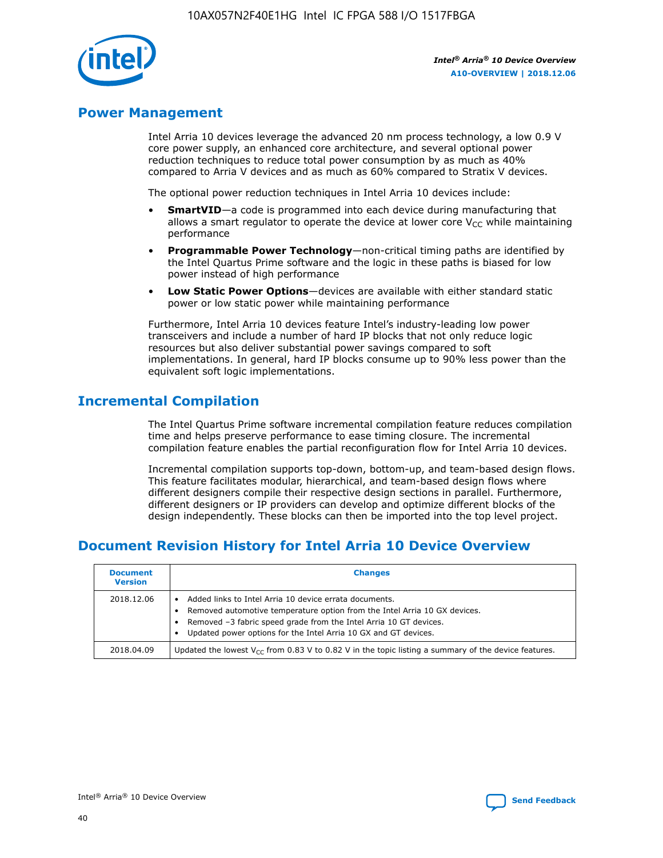

## **Power Management**

Intel Arria 10 devices leverage the advanced 20 nm process technology, a low 0.9 V core power supply, an enhanced core architecture, and several optional power reduction techniques to reduce total power consumption by as much as 40% compared to Arria V devices and as much as 60% compared to Stratix V devices.

The optional power reduction techniques in Intel Arria 10 devices include:

- **SmartVID**—a code is programmed into each device during manufacturing that allows a smart regulator to operate the device at lower core  $V_{CC}$  while maintaining performance
- **Programmable Power Technology**—non-critical timing paths are identified by the Intel Quartus Prime software and the logic in these paths is biased for low power instead of high performance
- **Low Static Power Options**—devices are available with either standard static power or low static power while maintaining performance

Furthermore, Intel Arria 10 devices feature Intel's industry-leading low power transceivers and include a number of hard IP blocks that not only reduce logic resources but also deliver substantial power savings compared to soft implementations. In general, hard IP blocks consume up to 90% less power than the equivalent soft logic implementations.

# **Incremental Compilation**

The Intel Quartus Prime software incremental compilation feature reduces compilation time and helps preserve performance to ease timing closure. The incremental compilation feature enables the partial reconfiguration flow for Intel Arria 10 devices.

Incremental compilation supports top-down, bottom-up, and team-based design flows. This feature facilitates modular, hierarchical, and team-based design flows where different designers compile their respective design sections in parallel. Furthermore, different designers or IP providers can develop and optimize different blocks of the design independently. These blocks can then be imported into the top level project.

# **Document Revision History for Intel Arria 10 Device Overview**

| <b>Document</b><br><b>Version</b> | <b>Changes</b>                                                                                                                                                                                                                                                              |
|-----------------------------------|-----------------------------------------------------------------------------------------------------------------------------------------------------------------------------------------------------------------------------------------------------------------------------|
| 2018.12.06                        | Added links to Intel Arria 10 device errata documents.<br>Removed automotive temperature option from the Intel Arria 10 GX devices.<br>Removed -3 fabric speed grade from the Intel Arria 10 GT devices.<br>Updated power options for the Intel Arria 10 GX and GT devices. |
| 2018.04.09                        | Updated the lowest $V_{CC}$ from 0.83 V to 0.82 V in the topic listing a summary of the device features.                                                                                                                                                                    |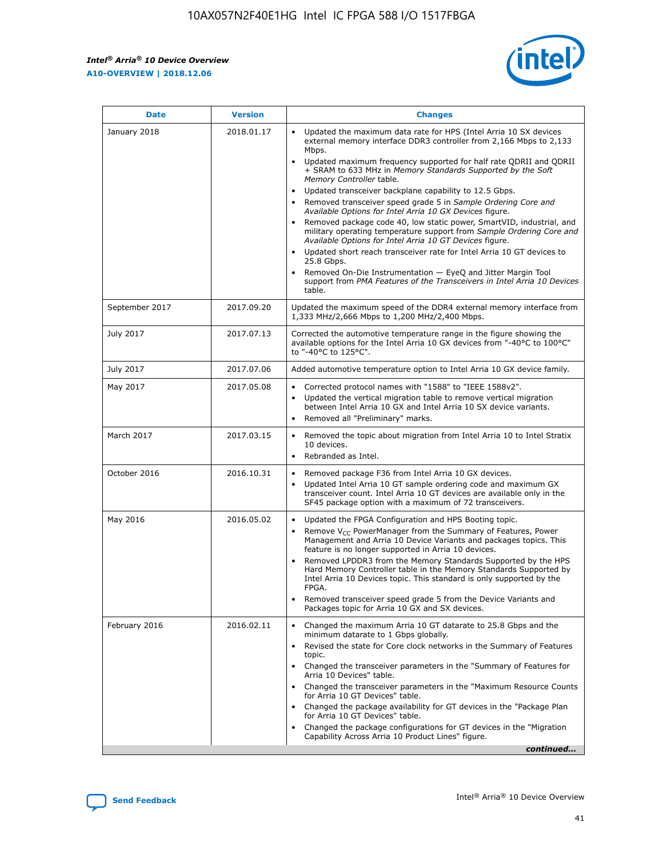*Intel® Arria® 10 Device Overview* **A10-OVERVIEW | 2018.12.06**



| <b>Date</b>    | <b>Version</b> | <b>Changes</b>                                                                                                                                                                                                                                                                                                                                                                                                                                                                                                                                                                                                                                                                                                                                                                                                                                                                                                                                                            |
|----------------|----------------|---------------------------------------------------------------------------------------------------------------------------------------------------------------------------------------------------------------------------------------------------------------------------------------------------------------------------------------------------------------------------------------------------------------------------------------------------------------------------------------------------------------------------------------------------------------------------------------------------------------------------------------------------------------------------------------------------------------------------------------------------------------------------------------------------------------------------------------------------------------------------------------------------------------------------------------------------------------------------|
| January 2018   | 2018.01.17     | Updated the maximum data rate for HPS (Intel Arria 10 SX devices<br>external memory interface DDR3 controller from 2,166 Mbps to 2,133<br>Mbps.<br>Updated maximum frequency supported for half rate QDRII and QDRII<br>+ SRAM to 633 MHz in Memory Standards Supported by the Soft<br>Memory Controller table.<br>Updated transceiver backplane capability to 12.5 Gbps.<br>$\bullet$<br>Removed transceiver speed grade 5 in Sample Ordering Core and<br>Available Options for Intel Arria 10 GX Devices figure.<br>Removed package code 40, low static power, SmartVID, industrial, and<br>military operating temperature support from Sample Ordering Core and<br>Available Options for Intel Arria 10 GT Devices figure.<br>Updated short reach transceiver rate for Intel Arria 10 GT devices to<br>25.8 Gbps.<br>Removed On-Die Instrumentation - EyeQ and Jitter Margin Tool<br>support from PMA Features of the Transceivers in Intel Arria 10 Devices<br>table. |
| September 2017 | 2017.09.20     | Updated the maximum speed of the DDR4 external memory interface from<br>1,333 MHz/2,666 Mbps to 1,200 MHz/2,400 Mbps.                                                                                                                                                                                                                                                                                                                                                                                                                                                                                                                                                                                                                                                                                                                                                                                                                                                     |
| July 2017      | 2017.07.13     | Corrected the automotive temperature range in the figure showing the<br>available options for the Intel Arria 10 GX devices from "-40°C to 100°C"<br>to "-40°C to 125°C".                                                                                                                                                                                                                                                                                                                                                                                                                                                                                                                                                                                                                                                                                                                                                                                                 |
| July 2017      | 2017.07.06     | Added automotive temperature option to Intel Arria 10 GX device family.                                                                                                                                                                                                                                                                                                                                                                                                                                                                                                                                                                                                                                                                                                                                                                                                                                                                                                   |
| May 2017       | 2017.05.08     | Corrected protocol names with "1588" to "IEEE 1588v2".<br>Updated the vertical migration table to remove vertical migration<br>between Intel Arria 10 GX and Intel Arria 10 SX device variants.<br>Removed all "Preliminary" marks.                                                                                                                                                                                                                                                                                                                                                                                                                                                                                                                                                                                                                                                                                                                                       |
| March 2017     | 2017.03.15     | Removed the topic about migration from Intel Arria 10 to Intel Stratix<br>10 devices.<br>Rebranded as Intel.<br>$\bullet$                                                                                                                                                                                                                                                                                                                                                                                                                                                                                                                                                                                                                                                                                                                                                                                                                                                 |
| October 2016   | 2016.10.31     | Removed package F36 from Intel Arria 10 GX devices.<br>Updated Intel Arria 10 GT sample ordering code and maximum GX<br>$\bullet$<br>transceiver count. Intel Arria 10 GT devices are available only in the<br>SF45 package option with a maximum of 72 transceivers.                                                                                                                                                                                                                                                                                                                                                                                                                                                                                                                                                                                                                                                                                                     |
| May 2016       | 2016.05.02     | Updated the FPGA Configuration and HPS Booting topic.<br>Remove V <sub>CC</sub> PowerManager from the Summary of Features, Power<br>Management and Arria 10 Device Variants and packages topics. This<br>feature is no longer supported in Arria 10 devices.<br>Removed LPDDR3 from the Memory Standards Supported by the HPS<br>Hard Memory Controller table in the Memory Standards Supported by<br>Intel Arria 10 Devices topic. This standard is only supported by the<br>FPGA.<br>Removed transceiver speed grade 5 from the Device Variants and<br>Packages topic for Arria 10 GX and SX devices.                                                                                                                                                                                                                                                                                                                                                                   |
| February 2016  | 2016.02.11     | Changed the maximum Arria 10 GT datarate to 25.8 Gbps and the<br>minimum datarate to 1 Gbps globally.<br>Revised the state for Core clock networks in the Summary of Features<br>$\bullet$<br>topic.<br>Changed the transceiver parameters in the "Summary of Features for<br>Arria 10 Devices" table.<br>• Changed the transceiver parameters in the "Maximum Resource Counts<br>for Arria 10 GT Devices" table.<br>• Changed the package availability for GT devices in the "Package Plan<br>for Arria 10 GT Devices" table.<br>Changed the package configurations for GT devices in the "Migration"<br>Capability Across Arria 10 Product Lines" figure.<br>continued                                                                                                                                                                                                                                                                                                  |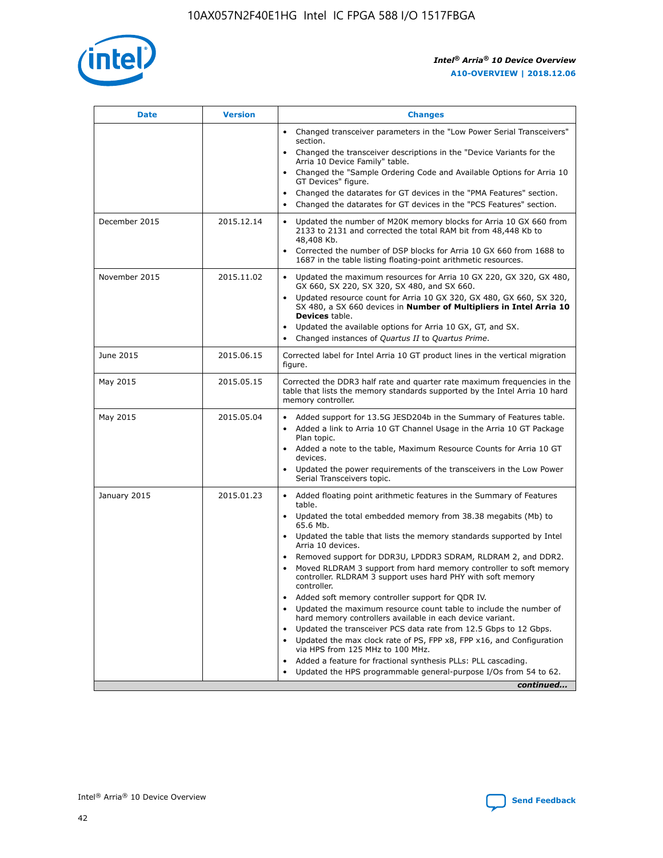

| <b>Date</b>   | <b>Version</b> | <b>Changes</b>                                                                                                                                                                   |
|---------------|----------------|----------------------------------------------------------------------------------------------------------------------------------------------------------------------------------|
|               |                | • Changed transceiver parameters in the "Low Power Serial Transceivers"<br>section.                                                                                              |
|               |                | • Changed the transceiver descriptions in the "Device Variants for the<br>Arria 10 Device Family" table.                                                                         |
|               |                | Changed the "Sample Ordering Code and Available Options for Arria 10<br>GT Devices" figure.                                                                                      |
|               |                | Changed the datarates for GT devices in the "PMA Features" section.                                                                                                              |
|               |                | Changed the datarates for GT devices in the "PCS Features" section.<br>$\bullet$                                                                                                 |
| December 2015 | 2015.12.14     | Updated the number of M20K memory blocks for Arria 10 GX 660 from<br>$\bullet$<br>2133 to 2131 and corrected the total RAM bit from 48,448 Kb to<br>48,408 Kb.                   |
|               |                | Corrected the number of DSP blocks for Arria 10 GX 660 from 1688 to<br>$\bullet$<br>1687 in the table listing floating-point arithmetic resources.                               |
| November 2015 | 2015.11.02     | Updated the maximum resources for Arria 10 GX 220, GX 320, GX 480,<br>$\bullet$<br>GX 660, SX 220, SX 320, SX 480, and SX 660.                                                   |
|               |                | Updated resource count for Arria 10 GX 320, GX 480, GX 660, SX 320,<br>$\bullet$<br>SX 480, a SX 660 devices in Number of Multipliers in Intel Arria 10<br><b>Devices</b> table. |
|               |                | Updated the available options for Arria 10 GX, GT, and SX.<br>$\bullet$                                                                                                          |
|               |                | Changed instances of Quartus II to Quartus Prime.<br>$\bullet$                                                                                                                   |
| June 2015     | 2015.06.15     | Corrected label for Intel Arria 10 GT product lines in the vertical migration<br>figure.                                                                                         |
| May 2015      | 2015.05.15     | Corrected the DDR3 half rate and quarter rate maximum frequencies in the<br>table that lists the memory standards supported by the Intel Arria 10 hard<br>memory controller.     |
| May 2015      | 2015.05.04     | • Added support for 13.5G JESD204b in the Summary of Features table.<br>• Added a link to Arria 10 GT Channel Usage in the Arria 10 GT Package<br>Plan topic.                    |
|               |                | • Added a note to the table, Maximum Resource Counts for Arria 10 GT<br>devices.                                                                                                 |
|               |                | Updated the power requirements of the transceivers in the Low Power<br>Serial Transceivers topic.                                                                                |
| January 2015  | 2015.01.23     | • Added floating point arithmetic features in the Summary of Features<br>table.                                                                                                  |
|               |                | • Updated the total embedded memory from 38.38 megabits (Mb) to<br>65.6 Mb.                                                                                                      |
|               |                | • Updated the table that lists the memory standards supported by Intel<br>Arria 10 devices.                                                                                      |
|               |                | Removed support for DDR3U, LPDDR3 SDRAM, RLDRAM 2, and DDR2.                                                                                                                     |
|               |                | Moved RLDRAM 3 support from hard memory controller to soft memory<br>controller. RLDRAM 3 support uses hard PHY with soft memory<br>controller.                                  |
|               |                | Added soft memory controller support for QDR IV.                                                                                                                                 |
|               |                | Updated the maximum resource count table to include the number of<br>hard memory controllers available in each device variant.                                                   |
|               |                | Updated the transceiver PCS data rate from 12.5 Gbps to 12 Gbps.<br>$\bullet$                                                                                                    |
|               |                | Updated the max clock rate of PS, FPP x8, FPP x16, and Configuration<br>via HPS from 125 MHz to 100 MHz.                                                                         |
|               |                | Added a feature for fractional synthesis PLLs: PLL cascading.                                                                                                                    |
|               |                | Updated the HPS programmable general-purpose I/Os from 54 to 62.                                                                                                                 |
|               |                | continued                                                                                                                                                                        |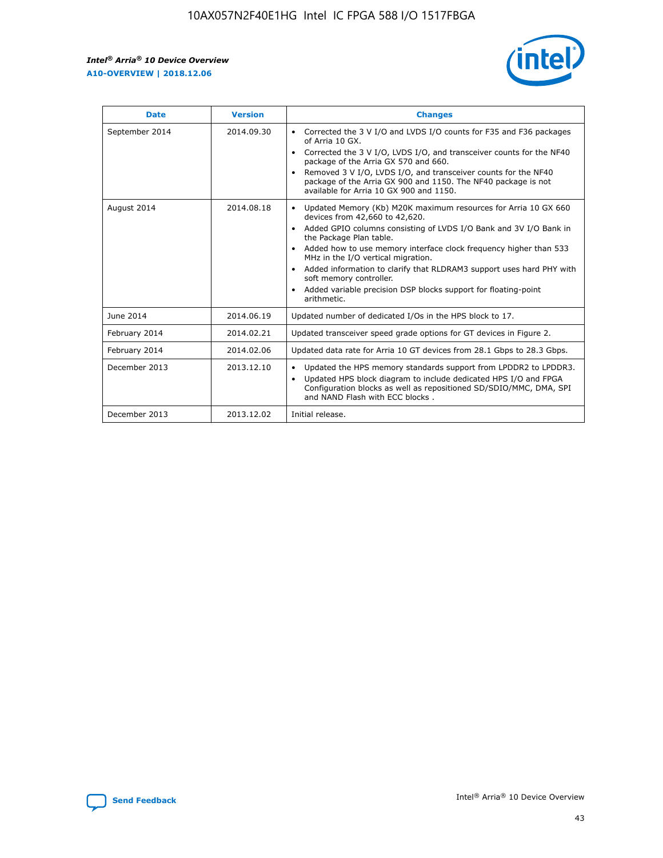r



| <b>Date</b>    | <b>Version</b> | <b>Changes</b>                                                                                                                                                                                                                                                                                                                                                                                                                                                                                                                                      |
|----------------|----------------|-----------------------------------------------------------------------------------------------------------------------------------------------------------------------------------------------------------------------------------------------------------------------------------------------------------------------------------------------------------------------------------------------------------------------------------------------------------------------------------------------------------------------------------------------------|
| September 2014 | 2014.09.30     | Corrected the 3 V I/O and LVDS I/O counts for F35 and F36 packages<br>$\bullet$<br>of Arria 10 GX.<br>Corrected the 3 V I/O, LVDS I/O, and transceiver counts for the NF40<br>$\bullet$<br>package of the Arria GX 570 and 660.<br>Removed 3 V I/O, LVDS I/O, and transceiver counts for the NF40<br>package of the Arria GX 900 and 1150. The NF40 package is not<br>available for Arria 10 GX 900 and 1150.                                                                                                                                       |
| August 2014    | 2014.08.18     | Updated Memory (Kb) M20K maximum resources for Arria 10 GX 660<br>devices from 42,660 to 42,620.<br>Added GPIO columns consisting of LVDS I/O Bank and 3V I/O Bank in<br>$\bullet$<br>the Package Plan table.<br>Added how to use memory interface clock frequency higher than 533<br>$\bullet$<br>MHz in the I/O vertical migration.<br>Added information to clarify that RLDRAM3 support uses hard PHY with<br>$\bullet$<br>soft memory controller.<br>Added variable precision DSP blocks support for floating-point<br>$\bullet$<br>arithmetic. |
| June 2014      | 2014.06.19     | Updated number of dedicated I/Os in the HPS block to 17.                                                                                                                                                                                                                                                                                                                                                                                                                                                                                            |
| February 2014  | 2014.02.21     | Updated transceiver speed grade options for GT devices in Figure 2.                                                                                                                                                                                                                                                                                                                                                                                                                                                                                 |
| February 2014  | 2014.02.06     | Updated data rate for Arria 10 GT devices from 28.1 Gbps to 28.3 Gbps.                                                                                                                                                                                                                                                                                                                                                                                                                                                                              |
| December 2013  | 2013.12.10     | Updated the HPS memory standards support from LPDDR2 to LPDDR3.<br>Updated HPS block diagram to include dedicated HPS I/O and FPGA<br>$\bullet$<br>Configuration blocks as well as repositioned SD/SDIO/MMC, DMA, SPI<br>and NAND Flash with ECC blocks.                                                                                                                                                                                                                                                                                            |
| December 2013  | 2013.12.02     | Initial release.                                                                                                                                                                                                                                                                                                                                                                                                                                                                                                                                    |